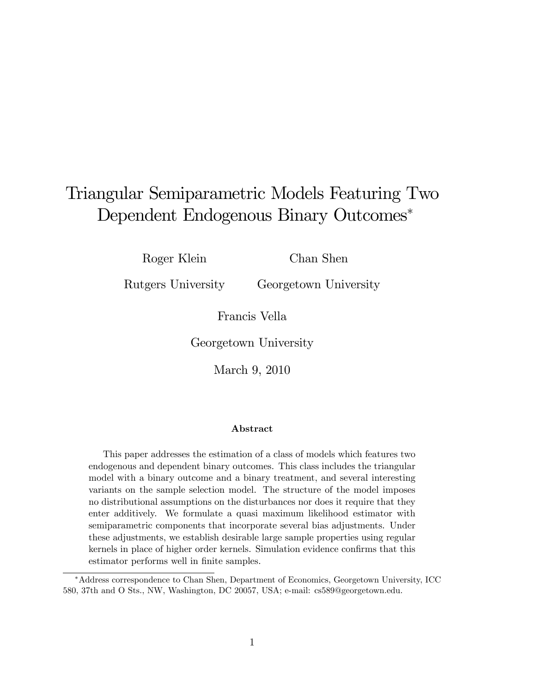# Triangular Semiparametric Models Featuring Two Dependent Endogenous Binary Outcomes

Roger Klein

Chan Shen

Rutgers University

Georgetown University

Francis Vella

Georgetown University

March 9, 2010

#### Abstract

This paper addresses the estimation of a class of models which features two endogenous and dependent binary outcomes. This class includes the triangular model with a binary outcome and a binary treatment, and several interesting variants on the sample selection model. The structure of the model imposes no distributional assumptions on the disturbances nor does it require that they enter additively. We formulate a quasi maximum likelihood estimator with semiparametric components that incorporate several bias adjustments. Under these adjustments, we establish desirable large sample properties using regular kernels in place of higher order kernels. Simulation evidence confirms that this estimator performs well in finite samples.

Address correspondence to Chan Shen, Department of Economics, Georgetown University, ICC 580, 37th and O Sts., NW, Washington, DC 20057, USA; e-mail: cs589@georgetown.edu.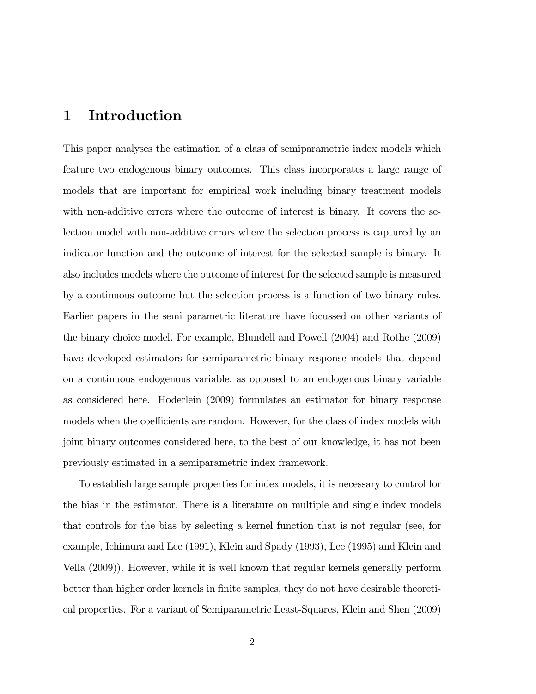## 1 Introduction

This paper analyses the estimation of a class of semiparametric index models which feature two endogenous binary outcomes. This class incorporates a large range of models that are important for empirical work including binary treatment models with non-additive errors where the outcome of interest is binary. It covers the selection model with non-additive errors where the selection process is captured by an indicator function and the outcome of interest for the selected sample is binary. It also includes models where the outcome of interest for the selected sample is measured by a continuous outcome but the selection process is a function of two binary rules. Earlier papers in the semi parametric literature have focussed on other variants of the binary choice model. For example, Blundell and Powell (2004) and Rothe (2009) have developed estimators for semiparametric binary response models that depend on a continuous endogenous variable, as opposed to an endogenous binary variable as considered here. Hoderlein (2009) formulates an estimator for binary response models when the coefficients are random. However, for the class of index models with joint binary outcomes considered here, to the best of our knowledge, it has not been previously estimated in a semiparametric index framework.

To establish large sample properties for index models, it is necessary to control for the bias in the estimator. There is a literature on multiple and single index models that controls for the bias by selecting a kernel function that is not regular (see, for example, Ichimura and Lee (1991), Klein and Spady (1993), Lee (1995) and Klein and Vella (2009)). However, while it is well known that regular kernels generally perform better than higher order kernels in finite samples, they do not have desirable theoretical properties. For a variant of Semiparametric Least-Squares, Klein and Shen (2009)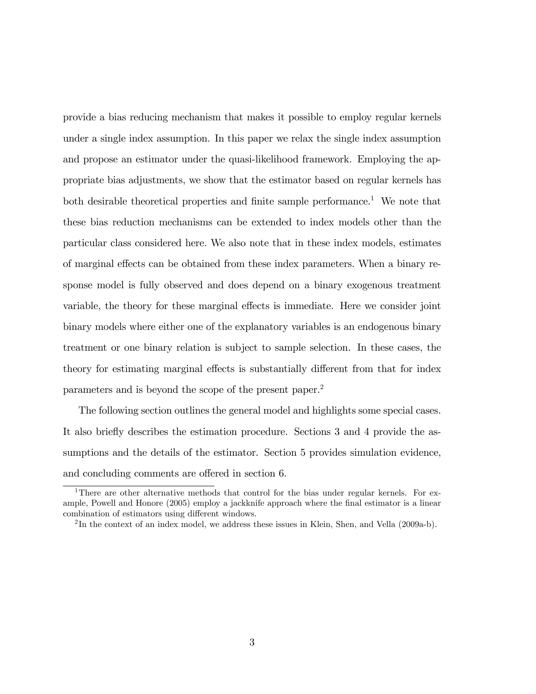provide a bias reducing mechanism that makes it possible to employ regular kernels under a single index assumption. In this paper we relax the single index assumption and propose an estimator under the quasi-likelihood framework. Employing the appropriate bias adjustments, we show that the estimator based on regular kernels has both desirable theoretical properties and finite sample performance.<sup>1</sup> We note that these bias reduction mechanisms can be extended to index models other than the particular class considered here. We also note that in these index models, estimates of marginal effects can be obtained from these index parameters. When a binary response model is fully observed and does depend on a binary exogenous treatment variable, the theory for these marginal effects is immediate. Here we consider joint binary models where either one of the explanatory variables is an endogenous binary treatment or one binary relation is subject to sample selection. In these cases, the theory for estimating marginal effects is substantially different from that for index parameters and is beyond the scope of the present paper.<sup>2</sup>

The following section outlines the general model and highlights some special cases. It also briefly describes the estimation procedure. Sections 3 and 4 provide the assumptions and the details of the estimator. Section 5 provides simulation evidence, and concluding comments are offered in section 6.

<sup>&</sup>lt;sup>1</sup>There are other alternative methods that control for the bias under regular kernels. For example, Powell and Honore (2005) employ a jackknife approach where the Önal estimator is a linear combination of estimators using different windows.

 ${}^{2}$ In the context of an index model, we address these issues in Klein, Shen, and Vella (2009a-b).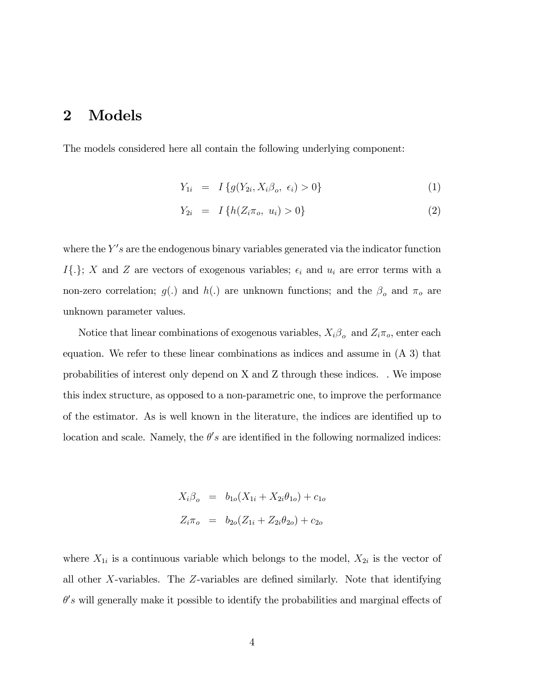# 2 Models

The models considered here all contain the following underlying component:

$$
Y_{1i} = I\{g(Y_{2i}, X_i\beta_o, \epsilon_i) > 0\}
$$
 (1)

$$
Y_{2i} = I\{h(Z_i \pi_o, u_i) > 0\}
$$
 (2)

where the  $Y's$  are the endogenous binary variables generated via the indicator function  $I\{\cdot\}; X$  and Z are vectors of exogenous variables;  $\epsilon_i$  and  $u_i$  are error terms with a non-zero correlation;  $g(.)$  and  $h(.)$  are unknown functions; and the  $\beta_o$  and  $\pi_o$  are unknown parameter values.

Notice that linear combinations of exogenous variables,  $X_i \beta_o$  and  $Z_i \pi_o$ , enter each equation. We refer to these linear combinations as indices and assume in (A 3) that probabilities of interest only depend on X and Z through these indices. . We impose this index structure, as opposed to a non-parametric one, to improve the performance of the estimator. As is well known in the literature, the indices are identified up to location and scale. Namely, the  $\theta's$  are identified in the following normalized indices:

$$
X_i \beta_o = b_{1o}(X_{1i} + X_{2i}\theta_{1o}) + c_{1o}
$$
  

$$
Z_i \pi_o = b_{2o}(Z_{1i} + Z_{2i}\theta_{2o}) + c_{2o}
$$

where  $X_{1i}$  is a continuous variable which belongs to the model,  $X_{2i}$  is the vector of all other X-variables. The  $Z$ -variables are defined similarly. Note that identifying  $\theta's$  will generally make it possible to identify the probabilities and marginal effects of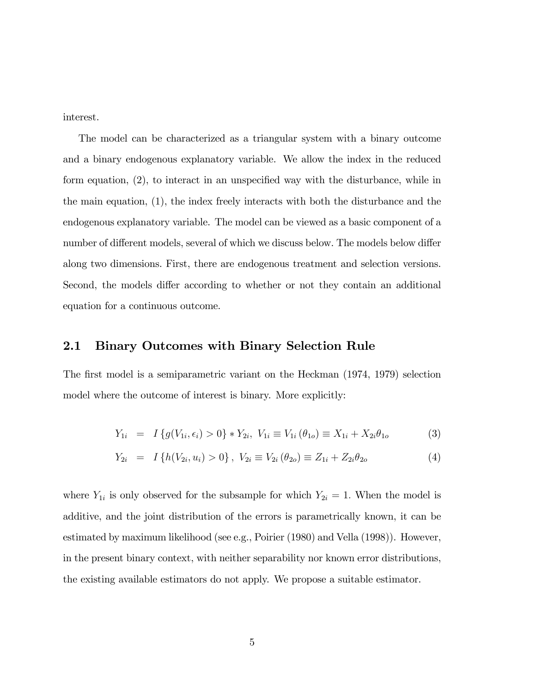interest.

The model can be characterized as a triangular system with a binary outcome and a binary endogenous explanatory variable. We allow the index in the reduced form equation,  $(2)$ , to interact in an unspecified way with the disturbance, while in the main equation, (1), the index freely interacts with both the disturbance and the endogenous explanatory variable. The model can be viewed as a basic component of a number of different models, several of which we discuss below. The models below differ along two dimensions. First, there are endogenous treatment and selection versions. Second, the models differ according to whether or not they contain an additional equation for a continuous outcome.

#### 2.1 Binary Outcomes with Binary Selection Rule

The first model is a semiparametric variant on the Heckman (1974, 1979) selection model where the outcome of interest is binary. More explicitly:

$$
Y_{1i} = I\{g(V_{1i}, \epsilon_i) > 0\} * Y_{2i}, V_{1i} \equiv V_{1i}(\theta_{1o}) \equiv X_{1i} + X_{2i}\theta_{1o}
$$
(3)

$$
Y_{2i} = I\{h(V_{2i}, u_i) > 0\}, V_{2i} \equiv V_{2i}(\theta_{2o}) \equiv Z_{1i} + Z_{2i}\theta_{2o}
$$
(4)

where  $Y_{1i}$  is only observed for the subsample for which  $Y_{2i} = 1$ . When the model is additive, and the joint distribution of the errors is parametrically known, it can be estimated by maximum likelihood (see e.g., Poirier (1980) and Vella (1998)). However, in the present binary context, with neither separability nor known error distributions, the existing available estimators do not apply. We propose a suitable estimator.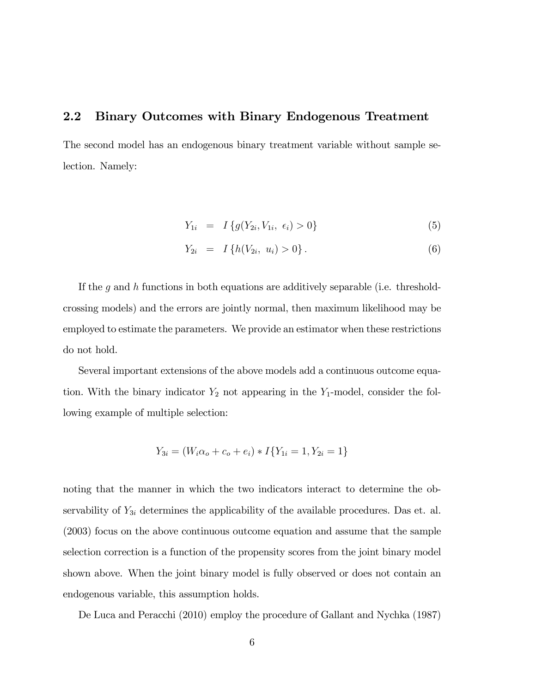#### 2.2 Binary Outcomes with Binary Endogenous Treatment

The second model has an endogenous binary treatment variable without sample selection. Namely:

$$
Y_{1i} = I\{g(Y_{2i}, V_{1i}, \epsilon_i) > 0\}
$$
\n(5)

$$
Y_{2i} = I\{h(V_{2i}, u_i) > 0\}.
$$
 (6)

If the g and h functions in both equations are additively separable (i.e. thresholdcrossing models) and the errors are jointly normal, then maximum likelihood may be employed to estimate the parameters. We provide an estimator when these restrictions do not hold.

Several important extensions of the above models add a continuous outcome equation. With the binary indicator  $Y_2$  not appearing in the  $Y_1$ -model, consider the following example of multiple selection:

$$
Y_{3i} = (W_i \alpha_o + c_o + e_i) * I\{Y_{1i} = 1, Y_{2i} = 1\}
$$

noting that the manner in which the two indicators interact to determine the observability of  $Y_{3i}$  determines the applicability of the available procedures. Das et. al. (2003) focus on the above continuous outcome equation and assume that the sample selection correction is a function of the propensity scores from the joint binary model shown above. When the joint binary model is fully observed or does not contain an endogenous variable, this assumption holds.

De Luca and Peracchi (2010) employ the procedure of Gallant and Nychka (1987)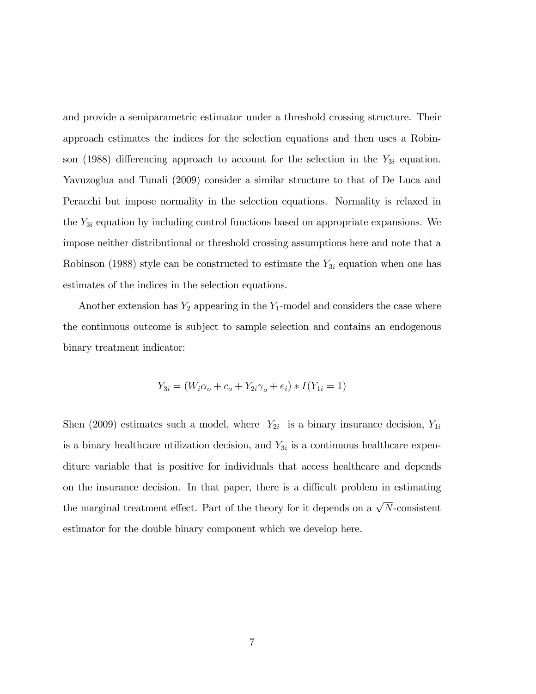and provide a semiparametric estimator under a threshold crossing structure. Their approach estimates the indices for the selection equations and then uses a Robinson (1988) differencing approach to account for the selection in the  $Y_{3i}$  equation. Yavuzoglua and Tunali (2009) consider a similar structure to that of De Luca and Peracchi but impose normality in the selection equations. Normality is relaxed in the  $Y_{3i}$  equation by including control functions based on appropriate expansions. We impose neither distributional or threshold crossing assumptions here and note that a Robinson (1988) style can be constructed to estimate the  $Y_{3i}$  equation when one has estimates of the indices in the selection equations.

Another extension has  $Y_2$  appearing in the  $Y_1$ -model and considers the case where the continuous outcome is subject to sample selection and contains an endogenous binary treatment indicator:

$$
Y_{3i} = (W_i \alpha_o + c_o + Y_{2i} \gamma_o + e_i) * I(Y_{1i} = 1)
$$

Shen (2009) estimates such a model, where  $Y_{2i}$  is a binary insurance decision,  $Y_{1i}$ is a binary healthcare utilization decision, and  $Y_{3i}$  is a continuous healthcare expenditure variable that is positive for individuals that access healthcare and depends on the insurance decision. In that paper, there is a difficult problem in estimating the marginal treatment effect. Part of the theory for it depends on a  $\sqrt{N}$ -consistent estimator for the double binary component which we develop here.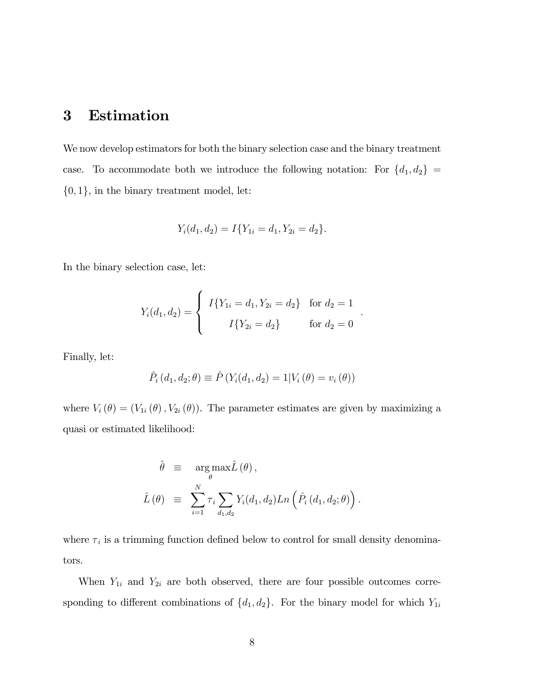# 3 Estimation

We now develop estimators for both the binary selection case and the binary treatment case. To accommodate both we introduce the following notation: For  $\{d_1, d_2\}$  =  $\{0,1\},$  in the binary treatment model, let:

$$
Y_i(d_1, d_2) = I\{Y_{1i} = d_1, Y_{2i} = d_2\}.
$$

In the binary selection case, let:

$$
Y_i(d_1, d_2) = \begin{cases} I\{Y_{1i} = d_1, Y_{2i} = d_2\} & \text{for } d_2 = 1\\ I\{Y_{2i} = d_2\} & \text{for } d_2 = 0 \end{cases}
$$

:

Finally, let:

$$
\hat{P}_i(d_1, d_2; \theta) \equiv \hat{P}(Y_i(d_1, d_2) = 1 | V_i(\theta) = v_i(\theta))
$$

where  $V_i(\theta) = (V_{1i}(\theta), V_{2i}(\theta))$ . The parameter estimates are given by maximizing a quasi or estimated likelihood:

$$
\hat{\theta} \equiv \arg \max_{\theta} \hat{L}(\theta),
$$
  

$$
\hat{L}(\theta) \equiv \sum_{i=1}^{N} \tau_i \sum_{d_1, d_2} Y_i(d_1, d_2) Ln \left( \hat{P}_i(d_1, d_2; \theta) \right).
$$

where  $\tau_i$  is a trimming function defined below to control for small density denominators.

When  $Y_{1i}$  and  $Y_{2i}$  are both observed, there are four possible outcomes corresponding to different combinations of  $\{d_1, d_2\}$ . For the binary model for which  $Y_{1i}$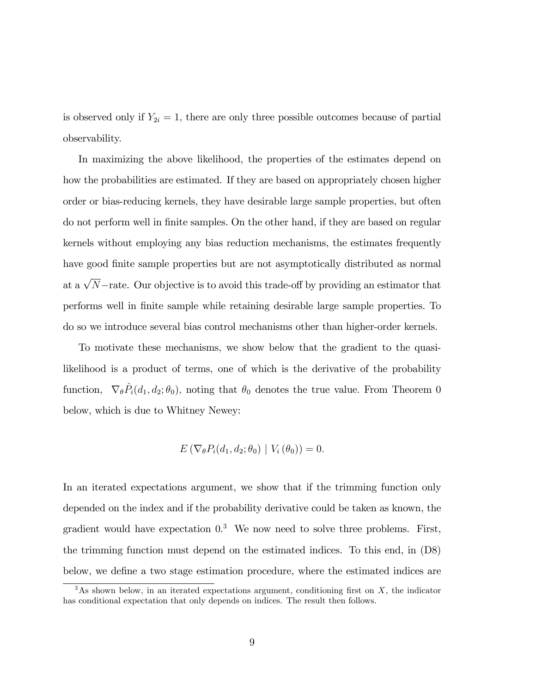is observed only if  $Y_{2i} = 1$ , there are only three possible outcomes because of partial observability.

In maximizing the above likelihood, the properties of the estimates depend on how the probabilities are estimated. If they are based on appropriately chosen higher order or bias-reducing kernels, they have desirable large sample properties, but often do not perform well in Önite samples. On the other hand, if they are based on regular kernels without employing any bias reduction mechanisms, the estimates frequently have good finite sample properties but are not asymptotically distributed as normal at a  $\sqrt{N}$ -rate. Our objective is to avoid this trade-off by providing an estimator that performs well in Önite sample while retaining desirable large sample properties. To do so we introduce several bias control mechanisms other than higher-order kernels.

To motivate these mechanisms, we show below that the gradient to the quasilikelihood is a product of terms, one of which is the derivative of the probability function,  $\nabla_{\theta} \hat{P}_i(d_1, d_2; \theta_0)$ , noting that  $\theta_0$  denotes the true value. From Theorem 0 below, which is due to Whitney Newey:

$$
E(\nabla_{\theta} P_i(d_1, d_2; \theta_0) | V_i(\theta_0)) = 0.
$$

In an iterated expectations argument, we show that if the trimming function only depended on the index and if the probability derivative could be taken as known, the gradient would have expectation  $0<sup>3</sup>$  We now need to solve three problems. First, the trimming function must depend on the estimated indices. To this end, in (D8) below, we define a two stage estimation procedure, where the estimated indices are

 $3$ As shown below, in an iterated expectations argument, conditioning first on  $X$ , the indicator has conditional expectation that only depends on indices. The result then follows.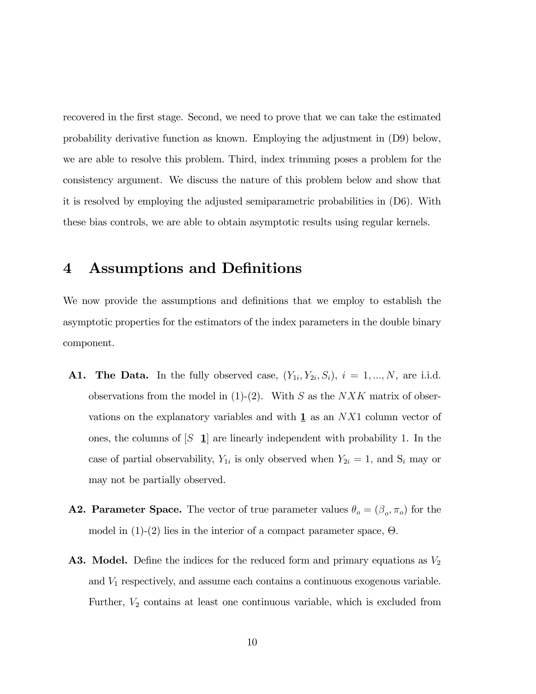recovered in the first stage. Second, we need to prove that we can take the estimated probability derivative function as known. Employing the adjustment in (D9) below, we are able to resolve this problem. Third, index trimming poses a problem for the consistency argument. We discuss the nature of this problem below and show that it is resolved by employing the adjusted semiparametric probabilities in (D6). With these bias controls, we are able to obtain asymptotic results using regular kernels.

## 4 Assumptions and Definitions

We now provide the assumptions and definitions that we employ to establish the asymptotic properties for the estimators of the index parameters in the double binary component.

- **A1.** The Data. In the fully observed case,  $(Y_{1i}, Y_{2i}, S_i)$ ,  $i = 1, ..., N$ , are i.i.d. observations from the model in  $(1)-(2)$ . With S as the NXK matrix of observations on the explanatory variables and with  $\mathbf{\underline{1}}$ Ø as an NX1 column vector of ones, the columns of  $[S \space \underline{1}]$ Ø ] are linearly independent with probability 1. In the case of partial observability,  $Y_{1i}$  is only observed when  $Y_{2i} = 1$ , and  $S_i$  may or may not be partially observed.
- **A2. Parameter Space.** The vector of true parameter values  $\theta_o = (\beta_o, \pi_o)$  for the model in  $(1)-(2)$  lies in the interior of a compact parameter space,  $\Theta$ .
- **A3. Model.** Define the indices for the reduced form and primary equations as  $V_2$ and  $V_1$  respectively, and assume each contains a continuous exogenous variable. Further,  $V_2$  contains at least one continuous variable, which is excluded from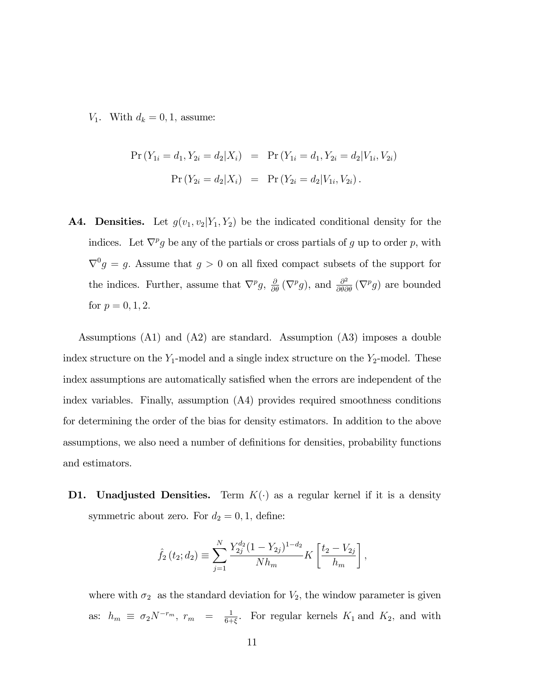$V_1$ . With  $d_k = 0, 1$ , assume:

$$
\Pr(Y_{1i} = d_1, Y_{2i} = d_2 | X_i) = \Pr(Y_{1i} = d_1, Y_{2i} = d_2 | V_{1i}, V_{2i})
$$

$$
\Pr(Y_{2i} = d_2 | X_i) = \Pr(Y_{2i} = d_2 | V_{1i}, V_{2i}).
$$

**A4.** Densities. Let  $g(v_1, v_2|Y_1, Y_2)$  be the indicated conditional density for the indices. Let  $\nabla^p g$  be any of the partials or cross partials of g up to order p, with  $\nabla^0 g = g$ . Assume that  $g > 0$  on all fixed compact subsets of the support for the indices. Further, assume that  $\nabla^p g$ ,  $\frac{\partial}{\partial \theta} (\nabla^p g)$ , and  $\frac{\partial^2}{\partial \theta \partial \theta} (\nabla^p g)$  are bounded for  $p = 0, 1, 2$ .

Assumptions (A1) and (A2) are standard. Assumption (A3) imposes a double index structure on the  $Y_1$ -model and a single index structure on the  $Y_2$ -model. These index assumptions are automatically satisfied when the errors are independent of the index variables. Finally, assumption (A4) provides required smoothness conditions for determining the order of the bias for density estimators. In addition to the above assumptions, we also need a number of definitions for densities, probability functions and estimators.

**D1.** Unadjusted Densities. Term  $K(\cdot)$  as a regular kernel if it is a density symmetric about zero. For  $d_2 = 0, 1$ , define:

$$
\hat{f}_2(t_2; d_2) \equiv \sum_{j=1}^N \frac{Y_{2j}^{d_2} (1 - Y_{2j})^{1 - d_2}}{N h_m} K\left[\frac{t_2 - V_{2j}}{h_m}\right],
$$

where with  $\sigma_2$  as the standard deviation for  $V_2$ , the window parameter is given as:  $h_m \equiv \sigma_2 N^{-r_m}, r_m = \frac{1}{6+1}$  $\frac{1}{6+\xi}$ . For regular kernels  $K_1$  and  $K_2$ , and with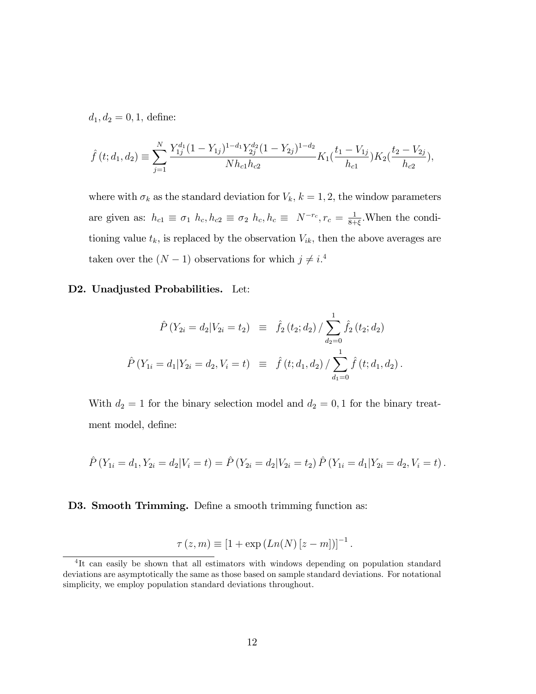$d_1, d_2 = 0, 1$ , define:

$$
\hat{f}(t; d_1, d_2) \equiv \sum_{j=1}^{N} \frac{Y_{1j}^{d_1} (1 - Y_{1j})^{1 - d_1} Y_{2j}^{d_2} (1 - Y_{2j})^{1 - d_2}}{N h_{c1} h_{c2}} K_1(\frac{t_1 - V_{1j}}{h_{c1}}) K_2(\frac{t_2 - V_{2j}}{h_{c2}}),
$$

where with  $\sigma_k$  as the standard deviation for  $V_k$ ,  $k = 1, 2$ , the window parameters are given as:  $h_{c1} \equiv \sigma_1 h_c, h_{c2} \equiv \sigma_2 h_c, h_c \equiv N^{-r_c}, r_c = \frac{1}{8+1}$  $\frac{1}{8+\xi}$ . When the conditioning value  $t_k$ , is replaced by the observation  $V_{ik}$ , then the above averages are taken over the  $(N - 1)$  observations for which  $j \neq i$ <sup>4</sup>

#### D2. Unadjusted Probabilities. Let:

$$
\hat{P}(Y_{2i} = d_2 | V_{2i} = t_2) \equiv \hat{f}_2(t_2; d_2) / \sum_{d_2=0}^{1} \hat{f}_2(t_2; d_2)
$$
  

$$
\hat{P}(Y_{1i} = d_1 | Y_{2i} = d_2, V_i = t) \equiv \hat{f}(t; d_1, d_2) / \sum_{d_1=0}^{1} \hat{f}(t; d_1, d_2).
$$

With  $d_2 = 1$  for the binary selection model and  $d_2 = 0, 1$  for the binary treatment model, define:

$$
\hat{P}(Y_{1i} = d_1, Y_{2i} = d_2 | V_i = t) = \hat{P}(Y_{2i} = d_2 | V_{2i} = t_2) \hat{P}(Y_{1i} = d_1 | Y_{2i} = d_2, V_i = t).
$$

D3. Smooth Trimming. Define a smooth trimming function as:

$$
\tau(z,m) \equiv [1 + \exp(Ln(N)[z-m])]^{-1}.
$$

<sup>&</sup>lt;sup>4</sup>It can easily be shown that all estimators with windows depending on population standard deviations are asymptotically the same as those based on sample standard deviations. For notational simplicity, we employ population standard deviations throughout.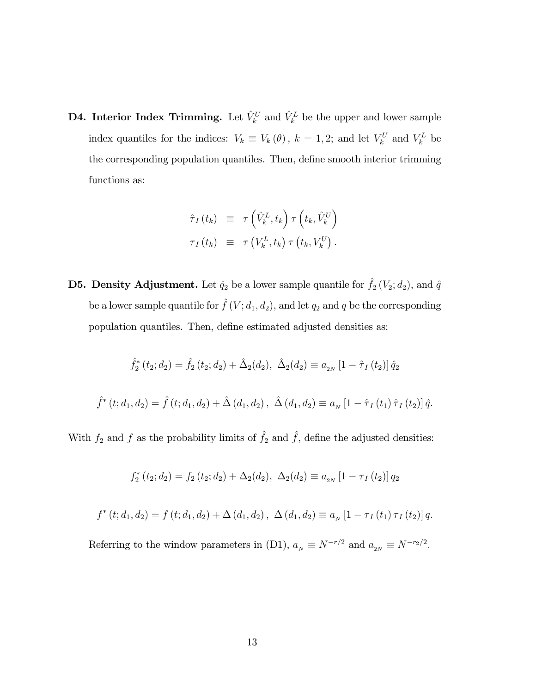**D4.** Interior Index Trimming. Let  $\hat{V}^U_k$  and  $\hat{V}^L_k$  be the upper and lower sample index quantiles for the indices:  $V_k \equiv V_k(\theta)$ ,  $k = 1, 2$ ; and let  $V_k^U$  and  $V_k^L$  be the corresponding population quantiles. Then, define smooth interior trimming functions as:

$$
\hat{\tau}_I(t_k) \equiv \tau \left( \hat{V}_k^L, t_k \right) \tau \left( t_k, \hat{V}_k^U \right) \n\tau_I(t_k) \equiv \tau \left( V_k^L, t_k \right) \tau \left( t_k, V_k^U \right).
$$

**D5. Density Adjustment.** Let  $\hat{q}_2$  be a lower sample quantile for  $\hat{f}_2 (V_2; d_2)$ , and  $\hat{q}$ be a lower sample quantile for  $\hat{f}$  (V;  $d_1, d_2$ ), and let  $q_2$  and q be the corresponding population quantiles. Then, define estimated adjusted densities as:

$$
\hat{f}_2^*(t_2; d_2) = \hat{f}_2(t_2; d_2) + \hat{\Delta}_2(d_2), \ \hat{\Delta}_2(d_2) \equiv a_{2N} \left[1 - \hat{\tau}_I(t_2)\right] \hat{q}_2
$$
\n
$$
\hat{f}^*(t; d_1, d_2) = \hat{f}(t; d_1, d_2) + \hat{\Delta}(d_1, d_2), \ \hat{\Delta}(d_1, d_2) \equiv a_N \left[1 - \hat{\tau}_I(t_1)\,\hat{\tau}_I(t_2)\right] \hat{q}.
$$

With  $f_2$  and f as the probability limits of  $\hat{f}_2$  and  $\hat{f}$ , define the adjusted densities:

$$
f_2^*(t_2; d_2) = f_2(t_2; d_2) + \Delta_2(d_2), \ \Delta_2(d_2) \equiv a_{2N} [1 - \tau_I(t_2)] q_2
$$

$$
f^{*}(t; d_1, d_2) = f(t; d_1, d_2) + \Delta(d_1, d_2), \ \Delta(d_1, d_2) \equiv a_N [1 - \tau_I(t_1) \tau_I(t_2)] q.
$$

Referring to the window parameters in (D1),  $a_N \equiv N^{-r/2}$  and  $a_{2N} \equiv N^{-r_2/2}$ .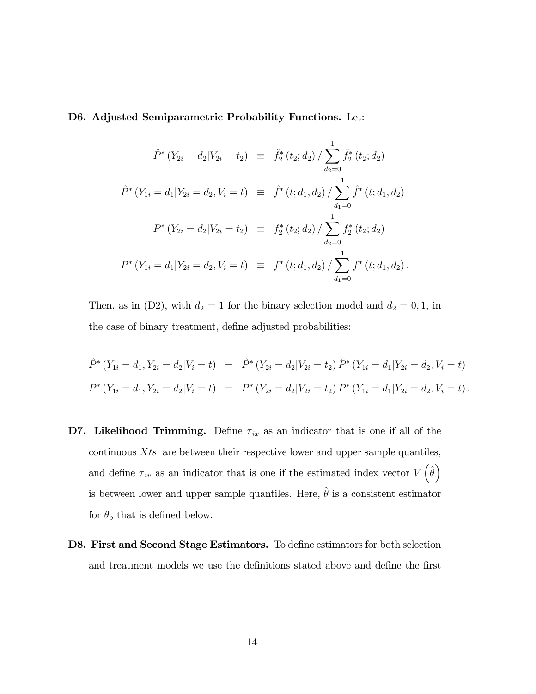D6. Adjusted Semiparametric Probability Functions. Let:

$$
\hat{P}^* (Y_{2i} = d_2 | V_{2i} = t_2) \equiv \hat{f}_2^* (t_2; d_2) / \sum_{d_2=0}^1 \hat{f}_2^* (t_2; d_2)
$$
  

$$
\hat{P}^* (Y_{1i} = d_1 | Y_{2i} = d_2, V_i = t) \equiv \hat{f}^* (t; d_1, d_2) / \sum_{d_1=0}^1 \hat{f}^* (t; d_1, d_2)
$$
  

$$
P^* (Y_{2i} = d_2 | V_{2i} = t_2) \equiv f_2^* (t_2; d_2) / \sum_{d_2=0}^1 f_2^* (t_2; d_2)
$$
  

$$
P^* (Y_{1i} = d_1 | Y_{2i} = d_2, V_i = t) \equiv f^* (t; d_1, d_2) / \sum_{d_1=0}^1 f^* (t; d_1, d_2).
$$

Then, as in (D2), with  $d_2 = 1$  for the binary selection model and  $d_2 = 0, 1$ , in the case of binary treatment, define adjusted probabilities:

$$
\hat{P}^* (Y_{1i} = d_1, Y_{2i} = d_2 | V_i = t) = \hat{P}^* (Y_{2i} = d_2 | V_{2i} = t_2) \hat{P}^* (Y_{1i} = d_1 | Y_{2i} = d_2, V_i = t)
$$
  

$$
P^* (Y_{1i} = d_1, Y_{2i} = d_2 | V_i = t) = P^* (Y_{2i} = d_2 | V_{2i} = t_2) P^* (Y_{1i} = d_1 | Y_{2i} = d_2, V_i = t).
$$

- D7. Likelihood Trimming. Define  $\tau_{ix}$  as an indicator that is one if all of the continuous  $X/s$  are between their respective lower and upper sample quantiles, and define  $\tau_{iv}$  as an indicator that is one if the estimated index vector  $V(\hat{\theta})$ is between lower and upper sample quantiles. Here,  $\hat{\theta}$  is a consistent estimator for  $\theta_o$  that is defined below.
- D8. First and Second Stage Estimators. To define estimators for both selection and treatment models we use the definitions stated above and define the first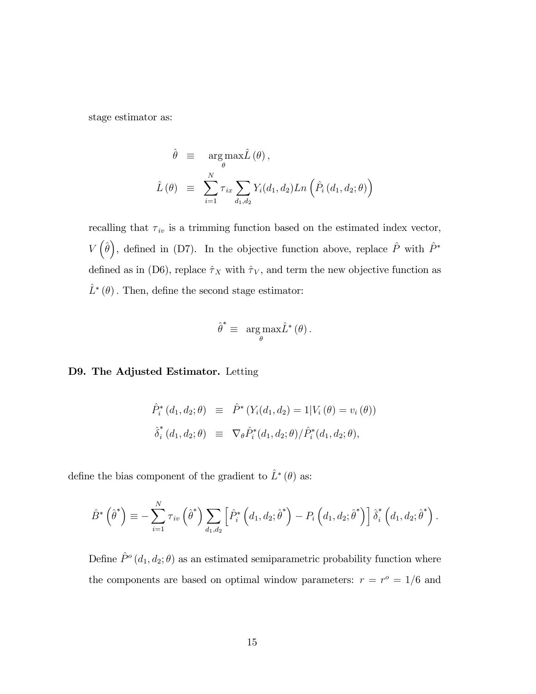stage estimator as:

$$
\hat{\theta} \equiv \arg \max_{\theta} \hat{L}(\theta),
$$
  

$$
\hat{L}(\theta) \equiv \sum_{i=1}^{N} \tau_{ix} \sum_{d_1, d_2} Y_i(d_1, d_2) Ln \left( \hat{P}_i(d_1, d_2; \theta) \right)
$$

recalling that  $\tau_{iv}$  is a trimming function based on the estimated index vector,  $V(\hat{\theta})$ , defined in (D7). In the objective function above, replace  $\hat{P}$  with  $\hat{P}^*$ defined as in (D6), replace  $\hat{\tau}_X$  with  $\hat{\tau}_V$ , and term the new objective function as  $\hat{L}^*(\theta)$ . Then, define the second stage estimator:

$$
\hat{\theta}^* \equiv \argmax_{\theta} \hat{L}^*(\theta).
$$

#### D9. The Adjusted Estimator. Letting

$$
\hat{P}_{i}^{*}(d_{1}, d_{2}; \theta) \equiv \hat{P}^{*}(Y_{i}(d_{1}, d_{2}) = 1 | V_{i}(\theta) = v_{i}(\theta))
$$
  

$$
\hat{\delta}_{i}^{*}(d_{1}, d_{2}; \theta) \equiv \nabla_{\theta} \hat{P}_{i}^{*}(d_{1}, d_{2}; \theta) / \hat{P}_{i}^{*}(d_{1}, d_{2}; \theta),
$$

define the bias component of the gradient to  $\hat{L}^*(\theta)$  as:

$$
\hat{B}^* \left( \hat{\theta}^* \right) \equiv - \sum_{i=1}^N \tau_{iv} \left( \hat{\theta}^* \right) \sum_{d_1, d_2} \left[ \hat{P}_i^* \left( d_1, d_2; \hat{\theta}^* \right) - P_i \left( d_1, d_2; \hat{\theta}^* \right) \right] \hat{\delta}_i^* \left( d_1, d_2; \hat{\theta}^* \right).
$$

Define  $\hat{P}^o(d_1, d_2; \theta)$  as an estimated semiparametric probability function where the components are based on optimal window parameters:  $r = r^{\circ} = 1/6$  and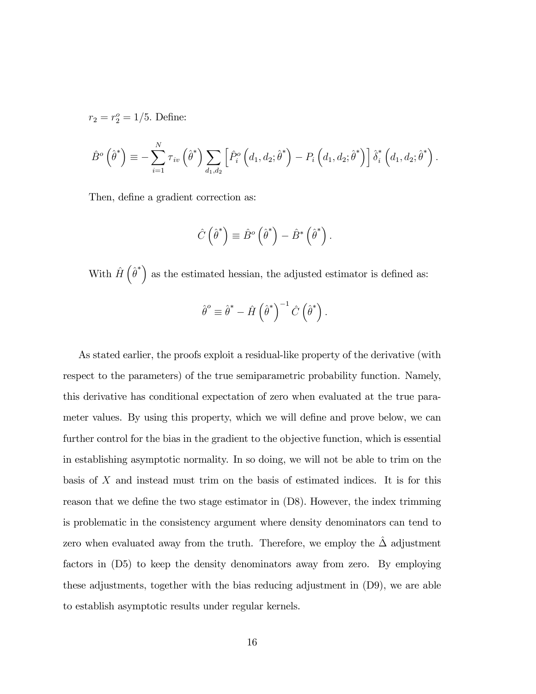$r_2 = r_2^o = 1/5$ . Define:

$$
\hat{B}^o\left(\hat{\theta}^*\right) \equiv -\sum_{i=1}^N \tau_{iv}\left(\hat{\theta}^*\right) \sum_{d_1,d_2} \left[\hat{P}_i^o\left(d_1,d_2;\hat{\theta}^*\right) - P_i\left(d_1,d_2;\hat{\theta}^*\right)\right] \hat{\delta}_i^*\left(d_1,d_2;\hat{\theta}^*\right).
$$

Then, define a gradient correction as:

$$
\hat{C}\left(\hat{\theta}^*\right) \equiv \hat{B}^o\left(\hat{\theta}^*\right) - \hat{B}^*\left(\hat{\theta}^*\right).
$$

With  $\hat{H}(\hat{\theta}^*)$  as the estimated hessian, the adjusted estimator is defined as:

$$
\hat{\theta}^{\circ} \equiv \hat{\theta}^* - \hat{H} \left( \hat{\theta}^* \right)^{-1} \hat{C} \left( \hat{\theta}^* \right).
$$

As stated earlier, the proofs exploit a residual-like property of the derivative (with respect to the parameters) of the true semiparametric probability function. Namely, this derivative has conditional expectation of zero when evaluated at the true parameter values. By using this property, which we will define and prove below, we can further control for the bias in the gradient to the objective function, which is essential in establishing asymptotic normality. In so doing, we will not be able to trim on the basis of X and instead must trim on the basis of estimated indices. It is for this reason that we define the two stage estimator in  $(D8)$ . However, the index trimming is problematic in the consistency argument where density denominators can tend to zero when evaluated away from the truth. Therefore, we employ the  $\Delta$  adjustment factors in (D5) to keep the density denominators away from zero. By employing these adjustments, together with the bias reducing adjustment in (D9), we are able to establish asymptotic results under regular kernels.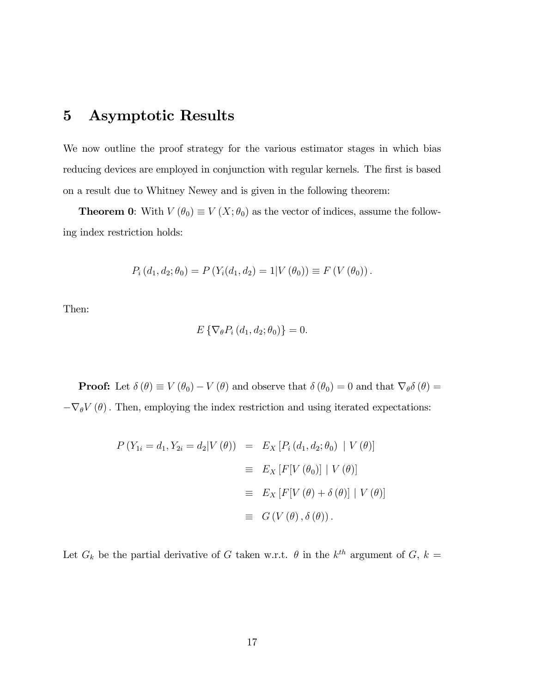### 5 Asymptotic Results

We now outline the proof strategy for the various estimator stages in which bias reducing devices are employed in conjunction with regular kernels. The first is based on a result due to Whitney Newey and is given in the following theorem:

**Theorem 0:** With  $V(\theta_0) \equiv V(X; \theta_0)$  as the vector of indices, assume the following index restriction holds:

$$
P_i(d_1, d_2; \theta_0) = P(Y_i(d_1, d_2) = 1 | V(\theta_0)) \equiv F(V(\theta_0))
$$

Then:

$$
E\left\{\nabla_{\theta}P_i\left(d_1,d_2;\theta_0\right)\right\}=0.
$$

**Proof:** Let  $\delta(\theta) \equiv V(\theta_0) - V(\theta)$  and observe that  $\delta(\theta_0) = 0$  and that  $\nabla_{\theta}\delta(\theta) =$  $-\nabla_\theta V\left(\theta\right).$  Then, employing the index restriction and using iterated expectations:

$$
P(Y_{1i} = d_1, Y_{2i} = d_2 | V(\theta)) = E_X [P_i(d_1, d_2; \theta_0) | V(\theta)]
$$
  
\n
$$
\equiv E_X [F[V(\theta_0)] | V(\theta)]
$$
  
\n
$$
\equiv E_X [F[V(\theta) + \delta(\theta)] | V(\theta)]
$$
  
\n
$$
\equiv G(V(\theta), \delta(\theta)).
$$

Let  $G_k$  be the partial derivative of G taken w.r.t.  $\theta$  in the  $k^{th}$  argument of  $G, k =$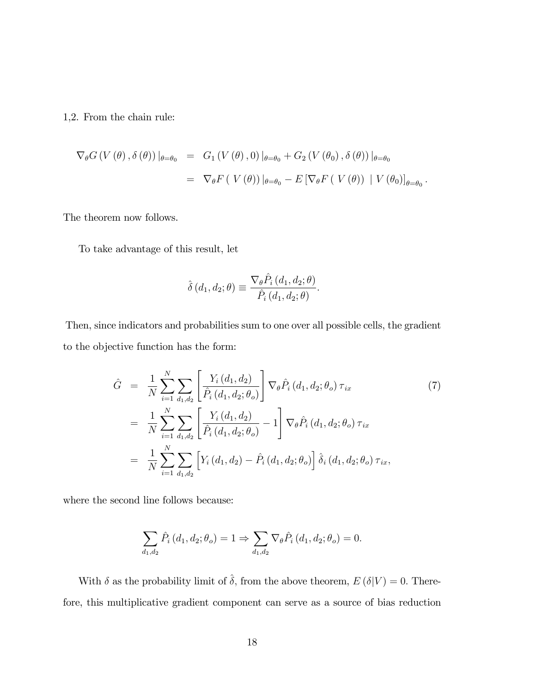1,2. From the chain rule:

$$
\nabla_{\theta} G\left(V\left(\theta\right), \delta\left(\theta\right)\right)|_{\theta=\theta_0} = G_1\left(V\left(\theta\right), 0\right)|_{\theta=\theta_0} + G_2\left(V\left(\theta_0\right), \delta\left(\theta\right)\right)|_{\theta=\theta_0}
$$

$$
= \nabla_{\theta} F\left(V\left(\theta\right)\right)|_{\theta=\theta_0} - E\left[\nabla_{\theta} F\left(V\left(\theta\right)\right) \mid V\left(\theta_0\right)\right]_{\theta=\theta_0}.
$$

The theorem now follows.

To take advantage of this result, let

$$
\hat{\delta}(d_1, d_2; \theta) \equiv \frac{\nabla_{\theta} \hat{P}_i(d_1, d_2; \theta)}{\hat{P}_i(d_1, d_2; \theta)}.
$$

Then, since indicators and probabilities sum to one over all possible cells, the gradient to the objective function has the form:

$$
\hat{G} = \frac{1}{N} \sum_{i=1}^{N} \sum_{d_1, d_2} \left[ \frac{Y_i (d_1, d_2)}{\hat{P}_i (d_1, d_2; \theta_o)} \right] \nabla_{\theta} \hat{P}_i (d_1, d_2; \theta_o) \tau_{ix} \tag{7}
$$
\n
$$
= \frac{1}{N} \sum_{i=1}^{N} \sum_{d_1, d_2} \left[ \frac{Y_i (d_1, d_2)}{\hat{P}_i (d_1, d_2; \theta_o)} - 1 \right] \nabla_{\theta} \hat{P}_i (d_1, d_2; \theta_o) \tau_{ix} \tag{7}
$$
\n
$$
= \frac{1}{N} \sum_{i=1}^{N} \sum_{d_1, d_2} \left[ Y_i (d_1, d_2) - \hat{P}_i (d_1, d_2; \theta_o) \right] \hat{\delta}_i (d_1, d_2; \theta_o) \tau_{ix},
$$

where the second line follows because:

$$
\sum_{d_1,d_2} \hat{P}_i(d_1,d_2;\theta_o) = 1 \Rightarrow \sum_{d_1,d_2} \nabla_{\theta} \hat{P}_i(d_1,d_2;\theta_o) = 0.
$$

With  $\delta$  as the probability limit of  $\hat{\delta}$ , from the above theorem,  $E (\delta |V) = 0$ . Therefore, this multiplicative gradient component can serve as a source of bias reduction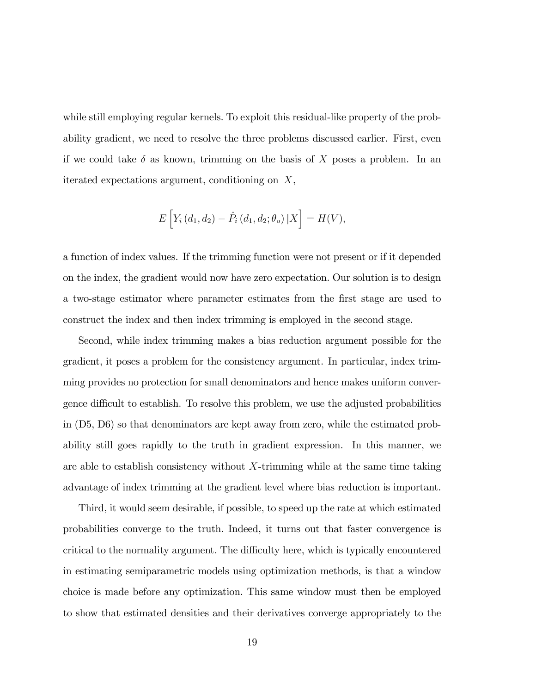while still employing regular kernels. To exploit this residual-like property of the probability gradient, we need to resolve the three problems discussed earlier. First, even if we could take  $\delta$  as known, trimming on the basis of X poses a problem. In an iterated expectations argument, conditioning on X,

$$
E[Y_i(d_1, d_2) - \hat{P}_i(d_1, d_2; \theta_o) | X] = H(V),
$$

a function of index values. If the trimming function were not present or if it depended on the index, the gradient would now have zero expectation. Our solution is to design a two-stage estimator where parameter estimates from the Örst stage are used to construct the index and then index trimming is employed in the second stage.

Second, while index trimming makes a bias reduction argument possible for the gradient, it poses a problem for the consistency argument. In particular, index trimming provides no protection for small denominators and hence makes uniform convergence difficult to establish. To resolve this problem, we use the adjusted probabilities in (D5, D6) so that denominators are kept away from zero, while the estimated probability still goes rapidly to the truth in gradient expression. In this manner, we are able to establish consistency without  $X$ -trimming while at the same time taking advantage of index trimming at the gradient level where bias reduction is important.

Third, it would seem desirable, if possible, to speed up the rate at which estimated probabilities converge to the truth. Indeed, it turns out that faster convergence is critical to the normality argument. The difficulty here, which is typically encountered in estimating semiparametric models using optimization methods, is that a window choice is made before any optimization. This same window must then be employed to show that estimated densities and their derivatives converge appropriately to the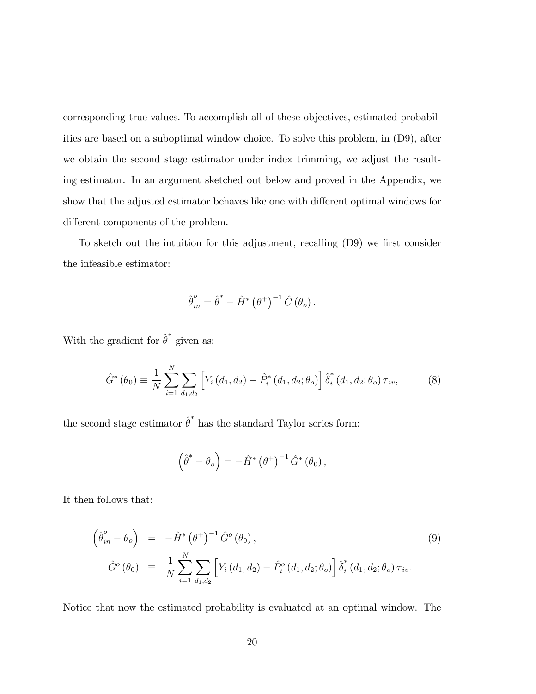corresponding true values. To accomplish all of these objectives, estimated probabilities are based on a suboptimal window choice. To solve this problem, in (D9), after we obtain the second stage estimator under index trimming, we adjust the resulting estimator. In an argument sketched out below and proved in the Appendix, we show that the adjusted estimator behaves like one with different optimal windows for different components of the problem.

To sketch out the intuition for this adjustment, recalling (D9) we first consider the infeasible estimator:

$$
\hat{\boldsymbol{\theta}}_{in}^o = \hat{\boldsymbol{\theta}}^* - \hat{H}^* \left( \boldsymbol{\theta}^+ \right)^{-1} \hat{C} \left( \boldsymbol{\theta}_o \right).
$$

With the gradient for  $\hat{\theta}^*$  given as:

$$
\hat{G}^*(\theta_0) \equiv \frac{1}{N} \sum_{i=1}^N \sum_{d_1, d_2} \left[ Y_i \left( d_1, d_2 \right) - \hat{P}_i^* \left( d_1, d_2; \theta_o \right) \right] \hat{\delta}_i^* \left( d_1, d_2; \theta_o \right) \tau_{iv},\tag{8}
$$

the second stage estimator  $\hat{\theta}^*$  has the standard Taylor series form:

$$
\left(\hat{\theta}^* - \theta_o\right) = -\hat{H}^* \left(\theta^+\right)^{-1} \hat{G}^* \left(\theta_0\right),
$$

It then follows that:

$$
\begin{aligned}\n\left(\hat{\theta}_{in}^{o} - \theta_{o}\right) &= -\hat{H}^{*}\left(\theta^{+}\right)^{-1}\hat{G}^{o}\left(\theta_{0}\right), \\
\hat{G}^{o}\left(\theta_{0}\right) &= \frac{1}{N} \sum_{i=1}^{N} \sum_{d_{1}, d_{2}} \left[Y_{i}\left(d_{1}, d_{2}\right) - \hat{P}_{i}^{o}\left(d_{1}, d_{2}; \theta_{o}\right)\right] \hat{\delta}_{i}^{*}\left(d_{1}, d_{2}; \theta_{o}\right) \tau_{iv}.\n\end{aligned}
$$
\n(9)

Notice that now the estimated probability is evaluated at an optimal window. The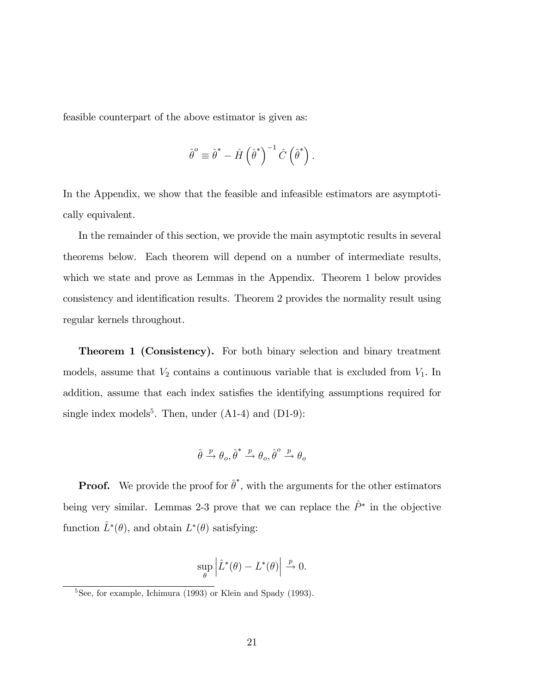feasible counterpart of the above estimator is given as:

$$
\hat{\theta}^{\circ} \equiv \hat{\theta}^* - \hat{H} \left( \hat{\theta}^* \right)^{-1} \hat{C} \left( \hat{\theta}^* \right).
$$

In the Appendix, we show that the feasible and infeasible estimators are asymptotically equivalent.

In the remainder of this section, we provide the main asymptotic results in several theorems below. Each theorem will depend on a number of intermediate results, which we state and prove as Lemmas in the Appendix. Theorem 1 below provides consistency and identification results. Theorem 2 provides the normality result using regular kernels throughout.

**Theorem 1 (Consistency).** For both binary selection and binary treatment models, assume that  $V_2$  contains a continuous variable that is excluded from  $V_1$ . In addition, assume that each index satisfies the identifying assumptions required for single index models<sup>5</sup>. Then, under  $(A1-4)$  and  $(D1-9)$ :

$$
\hat{\theta} \xrightarrow{p} \theta_o, \hat{\theta}^* \xrightarrow{p} \theta_o, \hat{\theta}^o \xrightarrow{p} \theta_o
$$

**Proof.** We provide the proof for  $\hat{\theta}^*$ , with the arguments for the other estimators being very similar. Lemmas 2-3 prove that we can replace the  $\hat{P}^*$  in the objective function  $\hat{L}^*(\theta)$ , and obtain  $L^*(\theta)$  satisfying:

$$
\sup_{\theta} \left| \hat{L}^*(\theta) - L^*(\theta) \right| \xrightarrow{p} 0.
$$

<sup>&</sup>lt;sup>5</sup>See, for example, Ichimura (1993) or Klein and Spady (1993).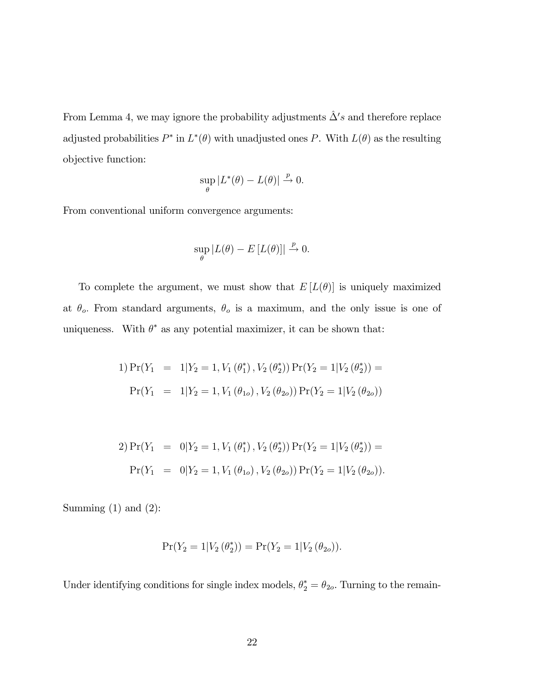From Lemma 4, we may ignore the probability adjustments  $\hat{\Delta}' s$  and therefore replace adjusted probabilities  $P^*$  in  $L^*(\theta)$  with unadjusted ones P. With  $L(\theta)$  as the resulting objective function:

$$
\sup_{\theta} |L^*(\theta) - L(\theta)| \xrightarrow{p} 0.
$$

From conventional uniform convergence arguments:

$$
\sup_{\theta} |L(\theta) - E[L(\theta)]| \xrightarrow{p} 0.
$$

To complete the argument, we must show that  $E[L(\theta)]$  is uniquely maximized at  $\theta_o$ . From standard arguments,  $\theta_o$  is a maximum, and the only issue is one of uniqueness. With  $\theta^*$  as any potential maximizer, it can be shown that:

1) 
$$
Pr(Y_1 = 1 | Y_2 = 1, V_1(\theta_1^*), V_2(\theta_2^*)) Pr(Y_2 = 1 | V_2(\theta_2^*)) =
$$
  
\n $Pr(Y_1 = 1 | Y_2 = 1, V_1(\theta_{1o}), V_2(\theta_{2o})) Pr(Y_2 = 1 | V_2(\theta_{2o}))$ 

2) 
$$
Pr(Y_1 = 0 | Y_2 = 1, V_1(\theta_1^*), V_2(\theta_2^*)) Pr(Y_2 = 1 | V_2(\theta_2^*)) =
$$
  
\n $Pr(Y_1 = 0 | Y_2 = 1, V_1(\theta_{1o}), V_2(\theta_{2o})) Pr(Y_2 = 1 | V_2(\theta_{2o})).$ 

Summing  $(1)$  and  $(2)$ :

$$
Pr(Y_2 = 1 | V_2(\theta_2^*)) = Pr(Y_2 = 1 | V_2(\theta_{2o})).
$$

Under identifying conditions for single index models,  $\theta_2^* = \theta_{2o}$ . Turning to the remain-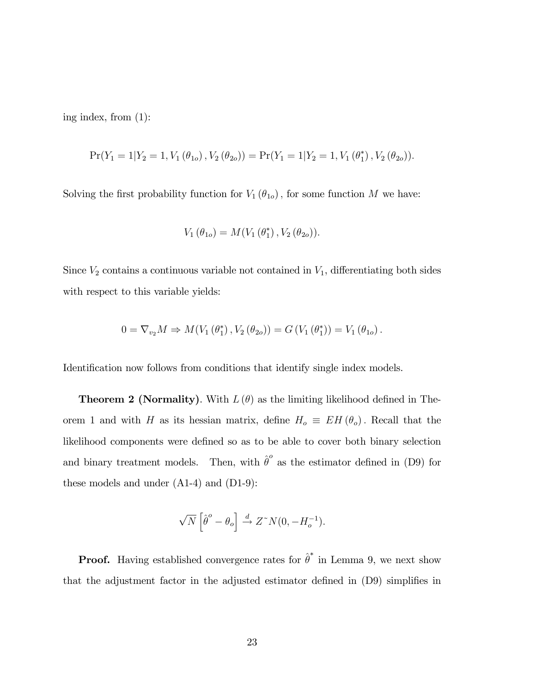ing index, from (1):

$$
Pr(Y_1 = 1 | Y_2 = 1, V_1(\theta_{1o}), V_2(\theta_{2o})) = Pr(Y_1 = 1 | Y_2 = 1, V_1(\theta_1^*), V_2(\theta_{2o})).
$$

Solving the first probability function for  $V_1 (\theta_{1o})$ , for some function M we have:

$$
V_1 (\theta_{1o}) = M(V_1 (\theta_1^*), V_2 (\theta_{2o})).
$$

Since  $V_2$  contains a continuous variable not contained in  $V_1$ , differentiating both sides with respect to this variable yields:

$$
0 = \nabla_{v_2} M \Rightarrow M(V_1(\theta_1^*), V_2(\theta_{2o})) = G(V_1(\theta_1^*)) = V_1(\theta_{1o}).
$$

Identification now follows from conditions that identify single index models.

**Theorem 2 (Normality)**. With  $L(\theta)$  as the limiting likelihood defined in Theorem 1 and with H as its hessian matrix, define  $H_0 \equiv EH(\theta_0)$ . Recall that the likelihood components were defined so as to be able to cover both binary selection and binary treatment models. Then, with  $\hat{\theta}^o$  as the estimator defined in (D9) for these models and under (A1-4) and (D1-9):

$$
\sqrt{N}\left[\hat{\boldsymbol{\theta}}^o-\boldsymbol{\theta}_o\right] \stackrel{d}{\rightarrow} Z^{\sim} N(0,-H_o^{-1}).
$$

**Proof.** Having established convergence rates for  $\hat{\theta}^*$  in Lemma 9, we next show that the adjustment factor in the adjusted estimator defined in  $(D9)$  simplifies in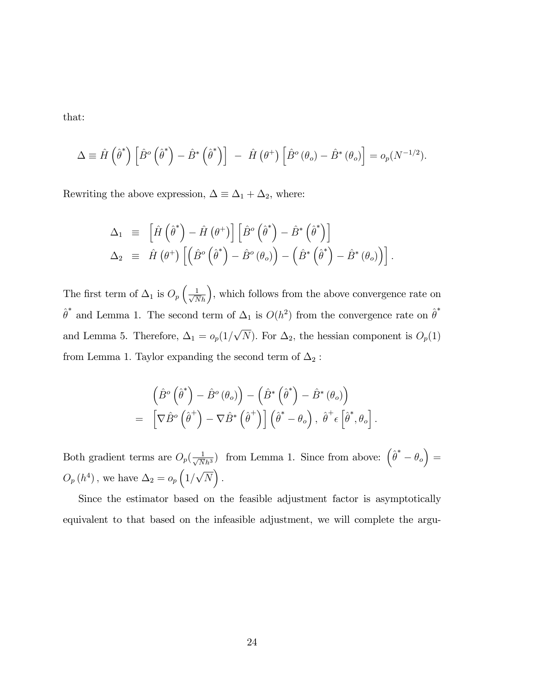that:

$$
\Delta \equiv \hat{H} \left( \hat{\theta}^* \right) \left[ \hat{B}^o \left( \hat{\theta}^* \right) - \hat{B}^* \left( \hat{\theta}^* \right) \right] - \hat{H} \left( \theta^+ \right) \left[ \hat{B}^o \left( \theta_o \right) - \hat{B}^* \left( \theta_o \right) \right] = o_p(N^{-1/2}).
$$

Rewriting the above expression,  $\Delta \equiv \Delta_1 + \Delta_2$ , where:

$$
\Delta_1 = \left[ \hat{H} \left( \hat{\theta}^* \right) - \hat{H} \left( \theta^* \right) \right] \left[ \hat{B}^o \left( \hat{\theta}^* \right) - \hat{B}^* \left( \hat{\theta}^* \right) \right] \n\Delta_2 = \hat{H} \left( \theta^+ \right) \left[ \left( \hat{B}^o \left( \hat{\theta}^* \right) - \hat{B}^o \left( \theta_o \right) \right) - \left( \hat{B}^* \left( \hat{\theta}^* \right) - \hat{B}^* \left( \theta_o \right) \right) \right].
$$

The first term of  $\Delta_1$  is  $O_p\left(\frac{1}{\sqrt{N}h}\right)$ , which follows from the above convergence rate on  $\hat{\theta}^*$  and Lemma 1. The second term of  $\Delta_1$  is  $O(h^2)$  from the convergence rate on  $\hat{\theta}^*$ and Lemma 5. Therefore,  $\Delta_1 = o_p(1/\sqrt{N})$ . For  $\Delta_2$ , the hessian component is  $O_p(1)$ from Lemma 1. Taylor expanding the second term of  $\Delta_2$  :

$$
\begin{aligned}\n&\left(\hat{B}^{\circ}\left(\hat{\theta}^{*}\right)-\hat{B}^{\circ}\left(\theta_{o}\right)\right)-\left(\hat{B}^{*}\left(\hat{\theta}^{*}\right)-\hat{B}^{*}\left(\theta_{o}\right)\right)\\
&=\begin{bmatrix}\nabla\hat{B}^{\circ}\left(\hat{\theta}^{+}\right)-\nabla\hat{B}^{*}\left(\hat{\theta}^{+}\right)\n\end{bmatrix}\left(\hat{\theta}^{*}-\theta_{o}\right),\ \hat{\theta}^{+}\epsilon\left[\hat{\theta}^{*},\theta_{o}\right]\n\end{aligned}
$$

:

Both gradient terms are  $O_p(\frac{1}{\sqrt{N}})$  $\frac{1}{\overline{N}h^3}$  from Lemma 1. Since from above:  $(\hat{\theta}^* - \theta_o)$  =  $O_p(h^4)$ , we have  $\Delta_2 = o_p\left(1/\sqrt{N}\right)$ .

Since the estimator based on the feasible adjustment factor is asymptotically equivalent to that based on the infeasible adjustment, we will complete the argu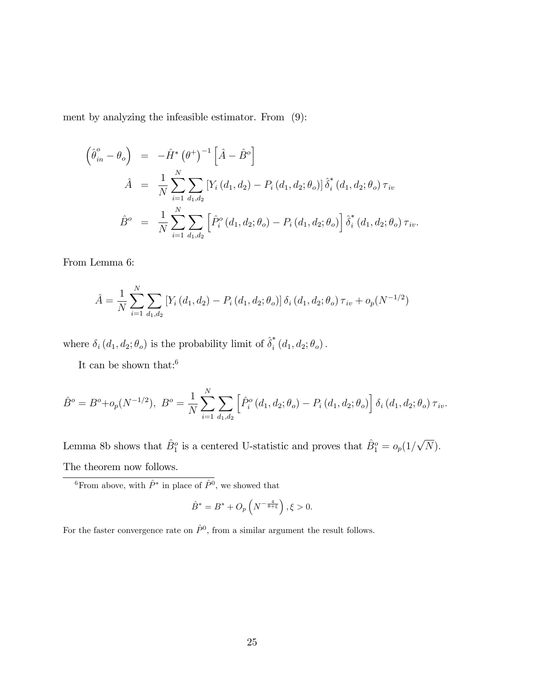ment by analyzing the infeasible estimator. From (9):

$$
\begin{aligned}\n\left(\hat{\theta}_{in}^{o} - \theta_{o}\right) &= -\hat{H}^{*}\left(\theta^{+}\right)^{-1}\left[\hat{A} - \hat{B}^{o}\right] \\
\hat{A} &= \frac{1}{N} \sum_{i=1}^{N} \sum_{d_{1},d_{2}} \left[Y_{i}\left(d_{1},d_{2}\right) - P_{i}\left(d_{1},d_{2};\theta_{o}\right)\right] \hat{\delta}_{i}^{*}\left(d_{1},d_{2};\theta_{o}\right) \tau_{iv} \\
\hat{B}^{o} &= \frac{1}{N} \sum_{i=1}^{N} \sum_{d_{1},d_{2}} \left[\hat{P}_{i}^{o}\left(d_{1},d_{2};\theta_{o}\right) - P_{i}\left(d_{1},d_{2};\theta_{o}\right)\right] \hat{\delta}_{i}^{*}\left(d_{1},d_{2};\theta_{o}\right) \tau_{iv}.\n\end{aligned}
$$

From Lemma 6:

$$
\hat{A} = \frac{1}{N} \sum_{i=1}^{N} \sum_{d_1, d_2} \left[ Y_i \left( d_1, d_2 \right) - P_i \left( d_1, d_2; \theta_o \right) \right] \delta_i \left( d_1, d_2; \theta_o \right) \tau_{iv} + o_p(N^{-1/2})
$$

where  $\delta_i (d_1, d_2; \theta_o)$  is the probability limit of  $\hat{\delta}_i^*$  $i(d_1, d_2; \theta_o).$ 

It can be shown that:<br> $\!6$ 

$$
\hat{B}^o = B^o + o_p(N^{-1/2}), \ B^o = \frac{1}{N} \sum_{i=1}^N \sum_{d_1, d_2} \left[ \hat{P}_i^o(d_1, d_2; \theta_o) - P_i(d_1, d_2; \theta_o) \right] \delta_i(d_1, d_2; \theta_o) \tau_{iv}.
$$

Lemma 8b shows that  $\hat{B}^o_1$  is a centered U-statistic and proves that  $\hat{B}^o_1 = o_p(1/\sqrt{N}).$ The theorem now follows.

<sup>6</sup>From above, with  $\hat{P}^*$  in place of  $\hat{P}^0$ , we showed that

$$
\hat{B}^* = B^* + O_p\left(N^{-\frac{4}{8+\xi}}\right), \xi > 0.
$$

For the faster convergence rate on  $\hat{P}^0$ , from a similar argument the result follows.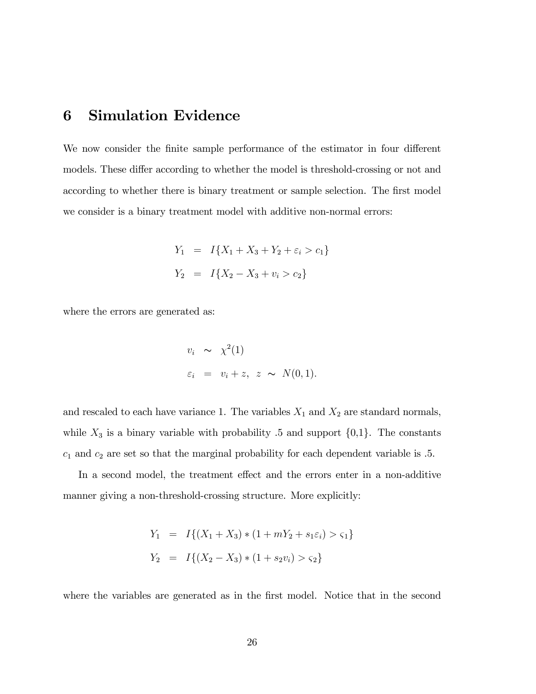# 6 Simulation Evidence

We now consider the finite sample performance of the estimator in four different models. These differ according to whether the model is threshold-crossing or not and according to whether there is binary treatment or sample selection. The first model we consider is a binary treatment model with additive non-normal errors:

$$
Y_1 = I\{X_1 + X_3 + Y_2 + \varepsilon_i > c_1\}
$$
  

$$
Y_2 = I\{X_2 - X_3 + v_i > c_2\}
$$

where the errors are generated as:

$$
v_i \sim \chi^2(1)
$$
  
\n
$$
\varepsilon_i = v_i + z, \ z \sim N(0, 1).
$$

and rescaled to each have variance 1. The variables  $X_1$  and  $X_2$  are standard normals, while  $X_3$  is a binary variable with probability .5 and support  $\{0,1\}$ . The constants  $c_1$  and  $c_2$  are set so that the marginal probability for each dependent variable is .5.

In a second model, the treatment effect and the errors enter in a non-additive manner giving a non-threshold-crossing structure. More explicitly:

$$
Y_1 = I\{(X_1 + X_3) * (1 + mY_2 + s_1\varepsilon_i) > \varsigma_1\}
$$
  

$$
Y_2 = I\{(X_2 - X_3) * (1 + s_2v_i) > \varsigma_2\}
$$

where the variables are generated as in the first model. Notice that in the second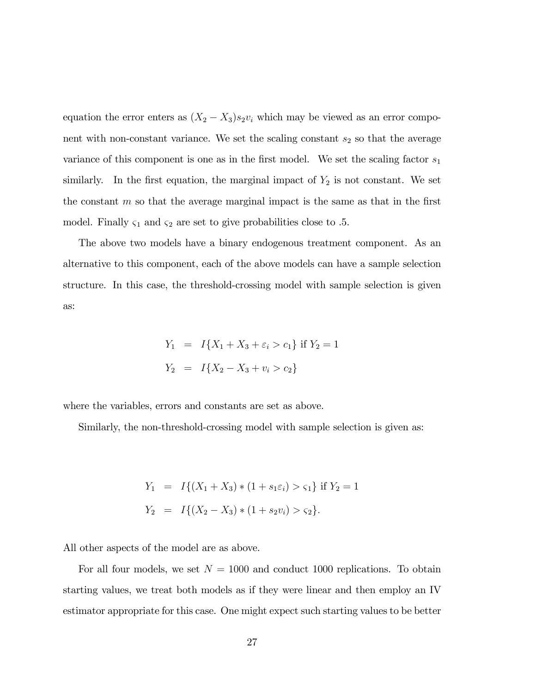equation the error enters as  $(X_2 - X_3)s_2v_i$  which may be viewed as an error component with non-constant variance. We set the scaling constant  $s_2$  so that the average variance of this component is one as in the first model. We set the scaling factor  $s_1$ similarly. In the first equation, the marginal impact of  $Y_2$  is not constant. We set the constant  $m$  so that the average marginal impact is the same as that in the first model. Finally  $\varsigma_1$  and  $\varsigma_2$  are set to give probabilities close to .5.

The above two models have a binary endogenous treatment component. As an alternative to this component, each of the above models can have a sample selection structure. In this case, the threshold-crossing model with sample selection is given as:

$$
Y_1 = I\{X_1 + X_3 + \varepsilon_i > c_1\} \text{ if } Y_2 = 1
$$
  

$$
Y_2 = I\{X_2 - X_3 + v_i > c_2\}
$$

where the variables, errors and constants are set as above.

Similarly, the non-threshold-crossing model with sample selection is given as:

$$
Y_1 = I\{(X_1 + X_3) * (1 + s_1 \varepsilon_i) > \varsigma_1\} \text{ if } Y_2 = 1
$$
  

$$
Y_2 = I\{(X_2 - X_3) * (1 + s_2 v_i) > \varsigma_2\}.
$$

All other aspects of the model are as above.

For all four models, we set  $N = 1000$  and conduct 1000 replications. To obtain starting values, we treat both models as if they were linear and then employ an IV estimator appropriate for this case. One might expect such starting values to be better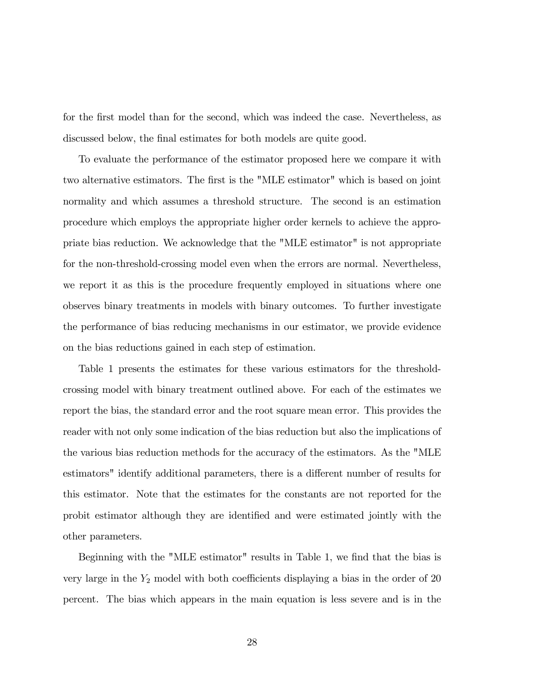for the first model than for the second, which was indeed the case. Nevertheless, as discussed below, the final estimates for both models are quite good.

To evaluate the performance of the estimator proposed here we compare it with two alternative estimators. The first is the "MLE estimator" which is based on joint normality and which assumes a threshold structure. The second is an estimation procedure which employs the appropriate higher order kernels to achieve the appropriate bias reduction. We acknowledge that the "MLE estimator" is not appropriate for the non-threshold-crossing model even when the errors are normal. Nevertheless, we report it as this is the procedure frequently employed in situations where one observes binary treatments in models with binary outcomes. To further investigate the performance of bias reducing mechanisms in our estimator, we provide evidence on the bias reductions gained in each step of estimation.

Table 1 presents the estimates for these various estimators for the thresholdcrossing model with binary treatment outlined above. For each of the estimates we report the bias, the standard error and the root square mean error. This provides the reader with not only some indication of the bias reduction but also the implications of the various bias reduction methods for the accuracy of the estimators. As the "MLE estimators" identify additional parameters, there is a different number of results for this estimator. Note that the estimates for the constants are not reported for the probit estimator although they are identified and were estimated jointly with the other parameters.

Beginning with the "MLE estimator" results in Table 1, we find that the bias is very large in the  $Y_2$  model with both coefficients displaying a bias in the order of 20 percent. The bias which appears in the main equation is less severe and is in the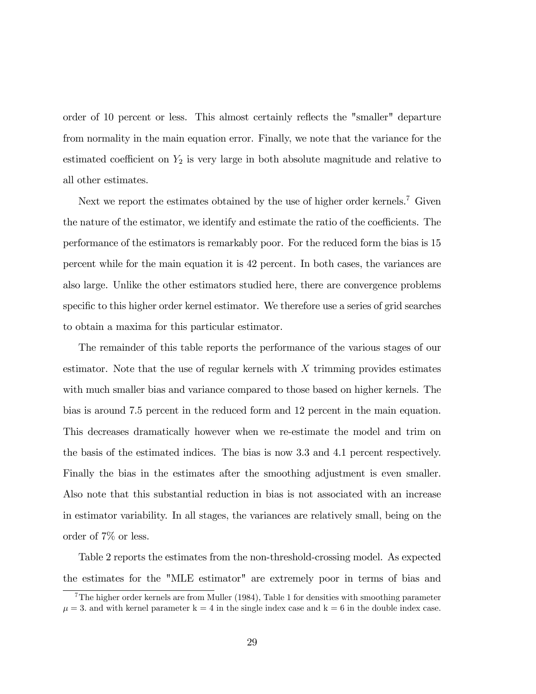order of 10 percent or less. This almost certainly reflects the "smaller" departure from normality in the main equation error. Finally, we note that the variance for the estimated coefficient on  $Y_2$  is very large in both absolute magnitude and relative to all other estimates.

Next we report the estimates obtained by the use of higher order kernels.<sup>7</sup> Given the nature of the estimator, we identify and estimate the ratio of the coefficients. The performance of the estimators is remarkably poor. For the reduced form the bias is 15 percent while for the main equation it is 42 percent. In both cases, the variances are also large. Unlike the other estimators studied here, there are convergence problems specific to this higher order kernel estimator. We therefore use a series of grid searches to obtain a maxima for this particular estimator.

The remainder of this table reports the performance of the various stages of our estimator. Note that the use of regular kernels with  $X$  trimming provides estimates with much smaller bias and variance compared to those based on higher kernels. The bias is around 7.5 percent in the reduced form and 12 percent in the main equation. This decreases dramatically however when we re-estimate the model and trim on the basis of the estimated indices. The bias is now 3.3 and 4.1 percent respectively. Finally the bias in the estimates after the smoothing adjustment is even smaller. Also note that this substantial reduction in bias is not associated with an increase in estimator variability. In all stages, the variances are relatively small, being on the order of 7% or less.

Table 2 reports the estimates from the non-threshold-crossing model. As expected the estimates for the "MLE estimator" are extremely poor in terms of bias and

 $7$ The higher order kernels are from Muller (1984), Table 1 for densities with smoothing parameter  $\mu = 3$  and with kernel parameter k = 4 in the single index case and k = 6 in the double index case.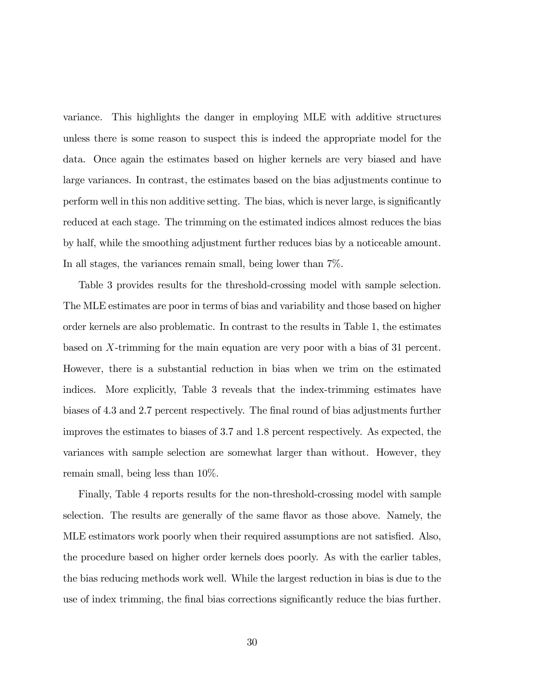variance. This highlights the danger in employing MLE with additive structures unless there is some reason to suspect this is indeed the appropriate model for the data. Once again the estimates based on higher kernels are very biased and have large variances. In contrast, the estimates based on the bias adjustments continue to perform well in this non additive setting. The bias, which is never large, is significantly reduced at each stage. The trimming on the estimated indices almost reduces the bias by half, while the smoothing adjustment further reduces bias by a noticeable amount. In all stages, the variances remain small, being lower than 7%.

Table 3 provides results for the threshold-crossing model with sample selection. The MLE estimates are poor in terms of bias and variability and those based on higher order kernels are also problematic. In contrast to the results in Table 1, the estimates based on X-trimming for the main equation are very poor with a bias of 31 percent. However, there is a substantial reduction in bias when we trim on the estimated indices. More explicitly, Table 3 reveals that the index-trimming estimates have biases of 4.3 and 2.7 percent respectively. The Önal round of bias adjustments further improves the estimates to biases of 3.7 and 1.8 percent respectively. As expected, the variances with sample selection are somewhat larger than without. However, they remain small, being less than 10%.

Finally, Table 4 reports results for the non-threshold-crossing model with sample selection. The results are generally of the same flavor as those above. Namely, the MLE estimators work poorly when their required assumptions are not satisfied. Also, the procedure based on higher order kernels does poorly. As with the earlier tables, the bias reducing methods work well. While the largest reduction in bias is due to the use of index trimming, the final bias corrections significantly reduce the bias further.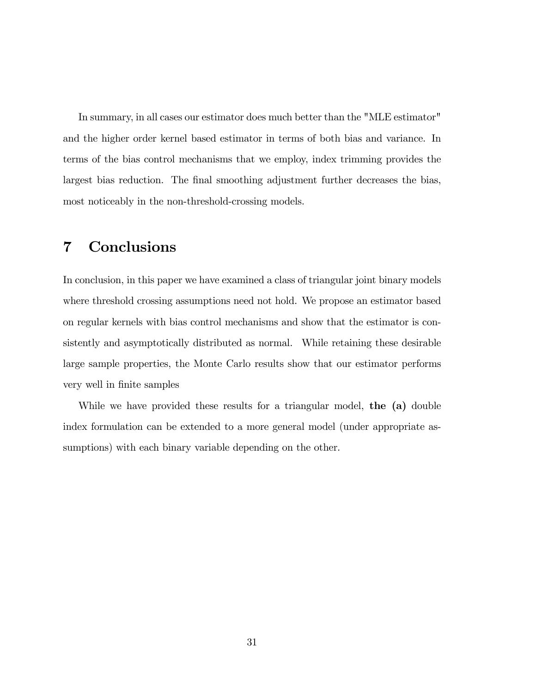In summary, in all cases our estimator does much better than the "MLE estimator" and the higher order kernel based estimator in terms of both bias and variance. In terms of the bias control mechanisms that we employ, index trimming provides the largest bias reduction. The final smoothing adjustment further decreases the bias, most noticeably in the non-threshold-crossing models.

# 7 Conclusions

In conclusion, in this paper we have examined a class of triangular joint binary models where threshold crossing assumptions need not hold. We propose an estimator based on regular kernels with bias control mechanisms and show that the estimator is consistently and asymptotically distributed as normal. While retaining these desirable large sample properties, the Monte Carlo results show that our estimator performs very well in finite samples

While we have provided these results for a triangular model, **the** (a) double index formulation can be extended to a more general model (under appropriate assumptions) with each binary variable depending on the other.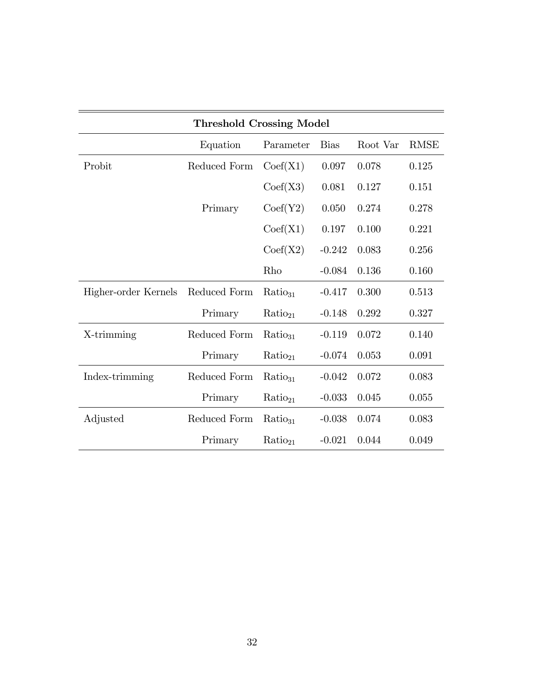| <b>Threshold Crossing Model</b> |              |                     |             |          |             |
|---------------------------------|--------------|---------------------|-------------|----------|-------------|
|                                 | Equation     | Parameter           | <b>Bias</b> | Root Var | <b>RMSE</b> |
| Probit                          | Reduced Form | $\text{Coeff}(X1)$  | 0.097       | 0.078    | 0.125       |
|                                 |              | $\text{Coeff}(X3)$  | 0.081       | 0.127    | 0.151       |
|                                 | Primary      | Coef(Y2)            | 0.050       | 0.274    | 0.278       |
|                                 |              | Coef(X1)            | 0.197       | 0.100    | 0.221       |
|                                 |              | $\text{Coeff}(X2)$  | $-0.242$    | 0.083    | 0.256       |
|                                 |              | Rho                 | $-0.084$    | 0.136    | 0.160       |
| Higher-order Kernels            | Reduced Form | Ratio <sub>31</sub> | $-0.417$    | 0.300    | 0.513       |
|                                 | Primary      | $Ratio_{21}$        | $-0.148$    | 0.292    | 0.327       |
| X-trimming                      | Reduced Form | Ratio <sub>31</sub> | $-0.119$    | 0.072    | 0.140       |
|                                 | Primary      | $Ratio_{21}$        | $-0.074$    | 0.053    | 0.091       |
| Index-trimming                  | Reduced Form | Ratio <sub>31</sub> | $-0.042$    | 0.072    | 0.083       |
|                                 | Primary      | $Ratio_{21}$        | $-0.033$    | 0.045    | 0.055       |
| Adjusted                        | Reduced Form | Ratio <sub>31</sub> | $-0.038$    | 0.074    | 0.083       |
|                                 | Primary      | $Ratio_{21}$        | $-0.021$    | 0.044    | 0.049       |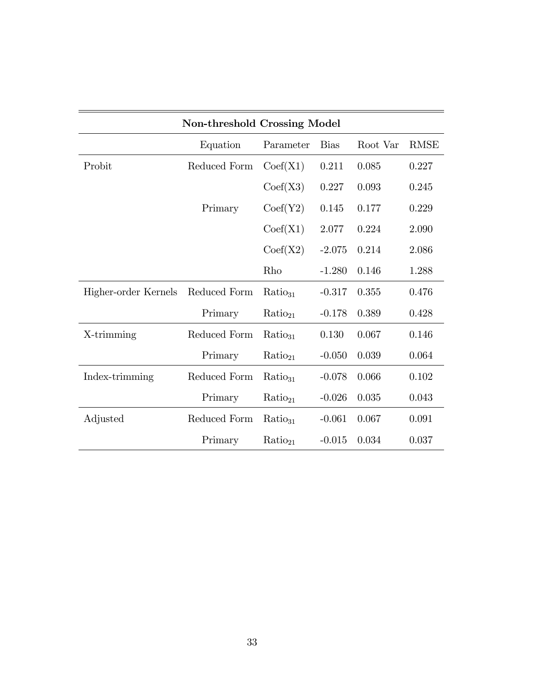| Non-threshold Crossing Model |              |                     |             |          |             |
|------------------------------|--------------|---------------------|-------------|----------|-------------|
|                              | Equation     | Parameter           | <b>Bias</b> | Root Var | <b>RMSE</b> |
| Probit                       | Reduced Form | Coef(X1)            | 0.211       | 0.085    | 0.227       |
|                              |              | $\text{Coeff}(X3)$  | 0.227       | 0.093    | 0.245       |
|                              | Primary      | Coeff(Y2)           | 0.145       | 0.177    | 0.229       |
|                              |              | $\text{Coeff}(X1)$  | 2.077       | 0.224    | 2.090       |
|                              |              | $\text{Coeff}(X2)$  | $-2.075$    | 0.214    | 2.086       |
|                              |              | Rho                 | $-1.280$    | 0.146    | 1.288       |
| Higher-order Kernels         | Reduced Form | Ratio <sub>31</sub> | $-0.317$    | 0.355    | 0.476       |
|                              | Primary      | $Ratio_{21}$        | $-0.178$    | 0.389    | 0.428       |
| X-trimming                   | Reduced Form | Ratio <sub>31</sub> | 0.130       | 0.067    | 0.146       |
|                              | Primary      | $Ratio_{21}$        | $-0.050$    | 0.039    | 0.064       |
| Index-trimming               | Reduced Form | Ratio <sub>31</sub> | $-0.078$    | 0.066    | 0.102       |
|                              | Primary      | Ratio <sub>21</sub> | $-0.026$    | 0.035    | 0.043       |
| Adjusted                     | Reduced Form | Ratio <sub>31</sub> | $-0.061$    | 0.067    | 0.091       |
|                              | Primary      | $Ratio_{21}$        | $-0.015$    | 0.034    | 0.037       |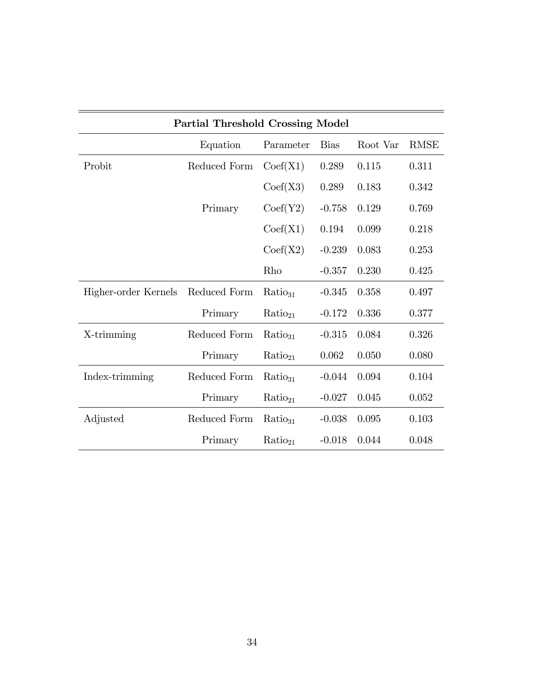| <b>Partial Threshold Crossing Model</b> |              |                     |             |          |             |
|-----------------------------------------|--------------|---------------------|-------------|----------|-------------|
|                                         | Equation     | Parameter           | <b>Bias</b> | Root Var | <b>RMSE</b> |
| Probit                                  | Reduced Form | Coef(X1)            | 0.289       | 0.115    | 0.311       |
|                                         |              | Coef(X3)            | 0.289       | 0.183    | 0.342       |
|                                         | Primary      | Coef(Y2)            | $-0.758$    | 0.129    | 0.769       |
|                                         |              | $\text{Coeff}(X1)$  | 0.194       | 0.099    | 0.218       |
|                                         |              | $\text{Coeff}(X2)$  | $-0.239$    | 0.083    | 0.253       |
|                                         |              | Rho                 | $-0.357$    | 0.230    | 0.425       |
| Higher-order Kernels                    | Reduced Form | Ratio <sub>31</sub> | $-0.345$    | 0.358    | 0.497       |
|                                         | Primary      | $Ratio_{21}$        | $-0.172$    | 0.336    | 0.377       |
| X-trimming                              | Reduced Form | Ratio <sub>31</sub> | $-0.315$    | 0.084    | 0.326       |
|                                         | Primary      | $Ratio_{21}$        | 0.062       | 0.050    | 0.080       |
| Index-trimming                          | Reduced Form | Ratio <sub>31</sub> | $-0.044$    | 0.094    | 0.104       |
|                                         | Primary      | $Ratio_{21}$        | $-0.027$    | 0.045    | 0.052       |
| Adjusted                                | Reduced Form | Ratio <sub>31</sub> | $-0.038$    | 0.095    | 0.103       |
|                                         | Primary      | $Ratio_{21}$        | $-0.018$    | 0.044    | 0.048       |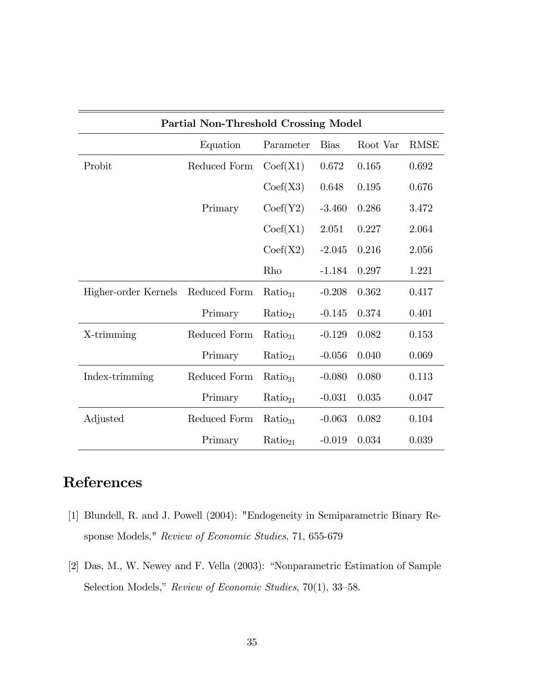| Partial Non-Threshold Crossing Model |              |                     |             |          |             |
|--------------------------------------|--------------|---------------------|-------------|----------|-------------|
|                                      | Equation     | Parameter           | <b>Bias</b> | Root Var | <b>RMSE</b> |
| Probit                               | Reduced Form | $\text{Coeff}(X1)$  | 0.672       | 0.165    | 0.692       |
|                                      |              | Coef(X3)            | 0.648       | 0.195    | 0.676       |
|                                      | Primary      | Coef(Y2)            | $-3.460$    | 0.286    | 3.472       |
|                                      |              | $\text{Coeff}(X1)$  | 2.051       | 0.227    | 2.064       |
|                                      |              | $\text{Coeff}(X2)$  | $-2.045$    | 0.216    | 2.056       |
|                                      |              | Rho                 | $-1.184$    | 0.297    | 1.221       |
| Higher-order Kernels                 | Reduced Form | Ratio <sub>31</sub> | $-0.208$    | 0.362    | 0.417       |
|                                      | Primary      | $Ratio_{21}$        | $-0.145$    | 0.374    | 0.401       |
| X-trimming                           | Reduced Form | $Ratio_{31}$        | $-0.129$    | 0.082    | 0.153       |
|                                      | Primary      | $Ratio_{21}$        | $-0.056$    | 0.040    | 0.069       |
| Index-trimming                       | Reduced Form | $Ratio_{31}$        | $-0.080$    | 0.080    | 0.113       |
|                                      | Primary      | $Ratio_{21}$        | $-0.031$    | 0.035    | 0.047       |
| Adjusted                             | Reduced Form | $Ratio_{31}$        | $-0.063$    | 0.082    | 0.104       |
|                                      | Primary      | $Ratio_{21}$        | $-0.019$    | 0.034    | 0.039       |

# References

- [1] Blundell, R. and J. Powell (2004): "Endogeneity in Semiparametric Binary Response Models," Review of Economic Studies, 71, 655-679
- [2] Das, M., W. Newey and F. Vella (2003): "Nonparametric Estimation of Sample Selection Models," Review of Economic Studies, 70(1), 33-58.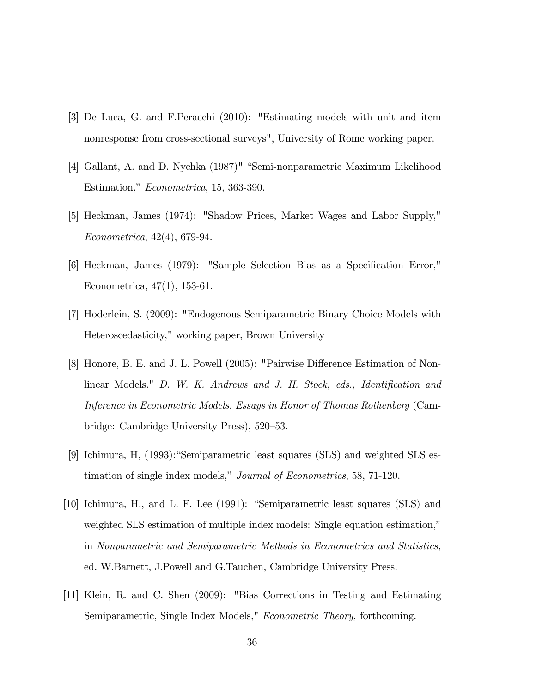- [3] De Luca, G. and F.Peracchi (2010): "Estimating models with unit and item nonresponse from cross-sectional surveys", University of Rome working paper.
- [4] Gallant, A. and D. Nychka  $(1987)$ " "Semi-nonparametric Maximum Likelihood Estimation," Econometrica, 15, 363-390.
- [5] Heckman, James (1974): "Shadow Prices, Market Wages and Labor Supply," Econometrica, 42(4), 679-94.
- [6] Heckman, James (1979): "Sample Selection Bias as a Specification Error," Econometrica, 47(1), 153-61.
- [7] Hoderlein, S. (2009): "Endogenous Semiparametric Binary Choice Models with Heteroscedasticity," working paper, Brown University
- [8] Honore, B. E. and J. L. Powell (2005): "Pairwise Difference Estimation of Nonlinear Models." D. W. K. Andrews and J. H. Stock, eds., Identification and Inference in Econometric Models. Essays in Honor of Thomas Rothenberg (Cambridge: Cambridge University Press), 520–53.
- [9] Ichimura, H,  $(1993)$ : "Semiparametric least squares (SLS) and weighted SLS estimation of single index models," Journal of Econometrics, 58, 71-120.
- [10] Ichimura, H., and L. F. Lee (1991): "Semiparametric least squares (SLS) and weighted SLS estimation of multiple index models: Single equation estimation," in Nonparametric and Semiparametric Methods in Econometrics and Statistics, ed. W.Barnett, J.Powell and G.Tauchen, Cambridge University Press.
- [11] Klein, R. and C. Shen (2009): "Bias Corrections in Testing and Estimating Semiparametric, Single Index Models," *Econometric Theory*, forthcoming.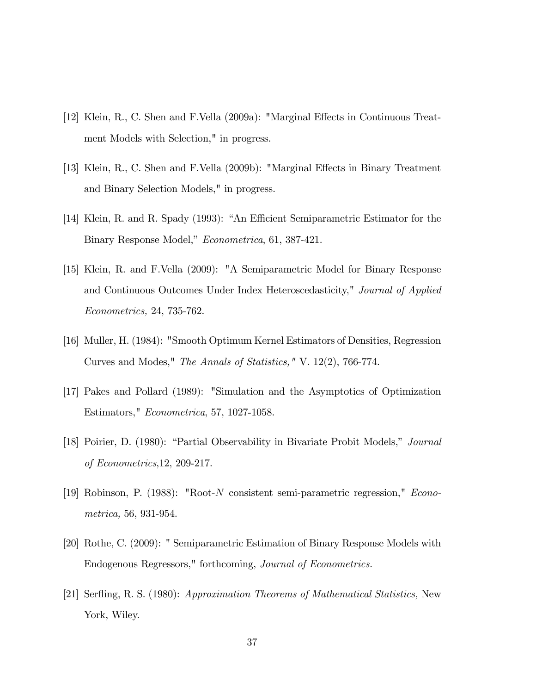- [12] Klein, R., C. Shen and F.Vella  $(2009a)$ : "Marginal Effects in Continuous Treatment Models with Selection," in progress.
- [13] Klein, R., C. Shen and F.Vella (2009b): "Marginal Effects in Binary Treatment and Binary Selection Models," in progress.
- [14] Klein, R. and R. Spady (1993): "An Efficient Semiparametric Estimator for the Binary Response Model," Econometrica, 61, 387-421.
- [15] Klein, R. and F.Vella (2009): "A Semiparametric Model for Binary Response and Continuous Outcomes Under Index Heteroscedasticity," Journal of Applied Econometrics, 24, 735-762.
- [16] Muller, H. (1984): "Smooth Optimum Kernel Estimators of Densities, Regression Curves and Modes," The Annals of Statistics," V. 12(2), 766-774.
- [17] Pakes and Pollard (1989): "Simulation and the Asymptotics of Optimization Estimators," Econometrica, 57, 1027-1058.
- [18] Poirier, D. (1980): "Partial Observability in Bivariate Probit Models," *Journal* of Econometrics,12, 209-217.
- [19] Robinson, P. (1988): "Root-N consistent semi-parametric regression," Econometrica, 56, 931-954.
- [20] Rothe, C. (2009): " Semiparametric Estimation of Binary Response Models with Endogenous Regressors," forthcoming, Journal of Econometrics.
- [21] Serfling, R. S. (1980): Approximation Theorems of Mathematical Statistics, New York, Wiley.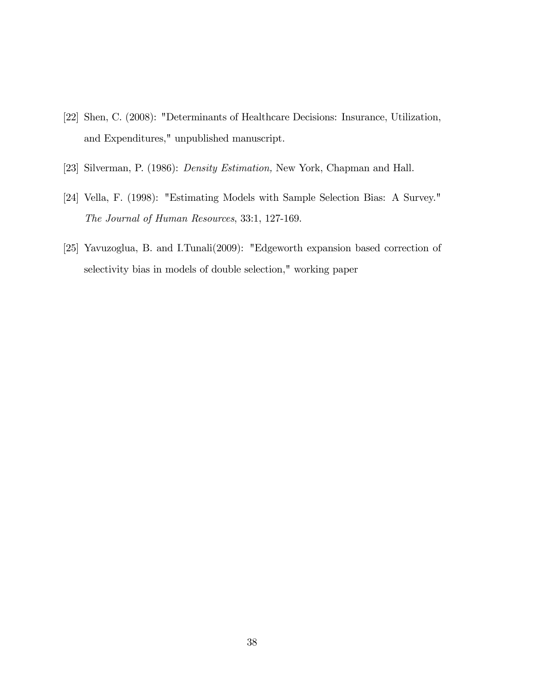- [22] Shen, C. (2008): "Determinants of Healthcare Decisions: Insurance, Utilization, and Expenditures," unpublished manuscript.
- [23] Silverman, P. (1986): Density Estimation, New York, Chapman and Hall.
- [24] Vella, F. (1998): "Estimating Models with Sample Selection Bias: A Survey." The Journal of Human Resources, 33:1, 127-169.
- [25] Yavuzoglua, B. and I.Tunali(2009): "Edgeworth expansion based correction of selectivity bias in models of double selection," working paper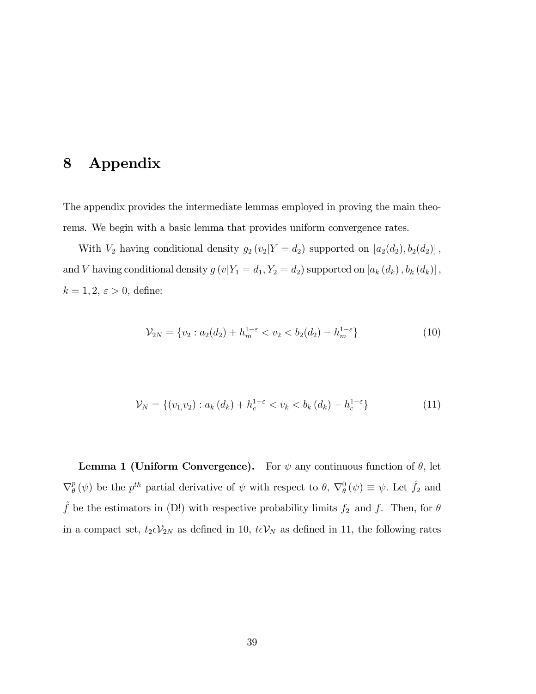# 8 Appendix

The appendix provides the intermediate lemmas employed in proving the main theorems. We begin with a basic lemma that provides uniform convergence rates.

With  $V_2$  having conditional density  $g_2(v_2|Y=d_2)$  supported on  $[a_2(d_2), b_2(d_2)]$ , and V having conditional density  $g(v|Y_1 = d_1, Y_2 = d_2)$  supported on  $[a_k(d_k), b_k(d_k)]$ ,  $k = 1, 2, \varepsilon > 0$ , define:

$$
\mathcal{V}_{2N} = \{v_2 : a_2(d_2) + h_m^{1-\epsilon} < v_2 < b_2(d_2) - h_m^{1-\epsilon}\}\tag{10}
$$

$$
\mathcal{V}_N = \{(v_1, v_2) : a_k (d_k) + h_c^{1-\epsilon} < v_k < b_k (d_k) - h_c^{1-\epsilon}\}\tag{11}
$$

**Lemma 1 (Uniform Convergence).** For  $\psi$  any continuous function of  $\theta$ , let  $\nabla^p_\theta$  $_p^p(\psi)$  be the p<sup>th</sup> partial derivative of  $\psi$  with respect to  $\theta$ ,  $\nabla^0_\theta(\psi) \equiv \psi$ . Let  $\hat{f}_2$  and  $\hat{f}$  be the estimators in (D!) with respective probability limits  $f_2$  and f. Then, for  $\theta$ in a compact set,  $t_2 \in V_{2N}$  as defined in 10,  $t \in V_N$  as defined in 11, the following rates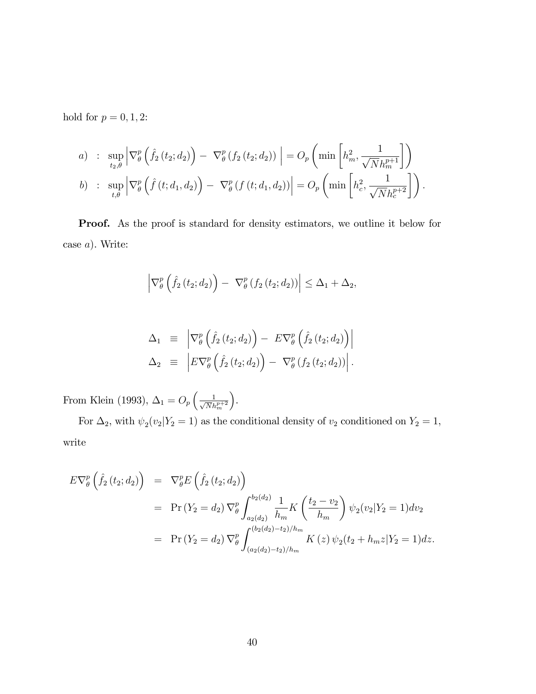hold for  $p=0,1,2\mathpunct:$ 

a) : 
$$
\sup_{t_2,\theta} \left| \nabla_{\theta}^p \left( \hat{f}_2(t_2; d_2) \right) - \nabla_{\theta}^p \left( f_2(t_2; d_2) \right) \right| = O_p \left( \min \left[ h_m^2, \frac{1}{\sqrt{N} h_m^{p+1}} \right] \right)
$$
  
b) : 
$$
\sup_{t,\theta} \left| \nabla_{\theta}^p \left( \hat{f}(t; d_1, d_2) \right) - \nabla_{\theta}^p \left( f(t; d_1, d_2) \right) \right| = O_p \left( \min \left[ h_c^2, \frac{1}{\sqrt{N} h_c^{p+2}} \right] \right).
$$

Proof. As the proof is standard for density estimators, we outline it below for case a). Write:

$$
\left|\nabla_{\theta}^{p}\left(\hat{f}_{2}\left(t_{2};d_{2}\right)\right)-\nabla_{\theta}^{p}\left(f_{2}\left(t_{2};d_{2}\right)\right)\right|\leq\Delta_{1}+\Delta_{2},
$$

$$
\Delta_1 \equiv \left| \nabla_{\theta}^p \left( \hat{f}_2(t_2; d_2) \right) - E \nabla_{\theta}^p \left( \hat{f}_2(t_2; d_2) \right) \right|
$$
  
\n
$$
\Delta_2 \equiv \left| E \nabla_{\theta}^p \left( \hat{f}_2(t_2; d_2) \right) - \nabla_{\theta}^p \left( f_2(t_2; d_2) \right) \right|.
$$

From Klein (1993),  $\Delta_1 = O_p \left( \frac{1}{\sqrt{N} h_m^{p+2}} \right)$ .

For  $\Delta_2$ , with  $\psi_2(v_2|Y_2=1)$  as the conditional density of  $v_2$  conditioned on  $Y_2=1$ , write

$$
E \nabla_{\theta}^{p} \left( \hat{f}_{2} (t_{2}; d_{2}) \right) = \nabla_{\theta}^{p} E \left( \hat{f}_{2} (t_{2}; d_{2}) \right)
$$
  
\n
$$
= \Pr \left( Y_{2} = d_{2} \right) \nabla_{\theta}^{p} \int_{a_{2}(d_{2})}^{b_{2}(d_{2})} \frac{1}{h_{m}} K \left( \frac{t_{2} - v_{2}}{h_{m}} \right) \psi_{2} (v_{2} | Y_{2} = 1) dv_{2}
$$
  
\n
$$
= \Pr \left( Y_{2} = d_{2} \right) \nabla_{\theta}^{p} \int_{(a_{2}(d_{2}) - t_{2})/h_{m}}^{(b_{2}(d_{2}) - t_{2})/h_{m}} K \left( z \right) \psi_{2} (t_{2} + h_{m} z | Y_{2} = 1) dz.
$$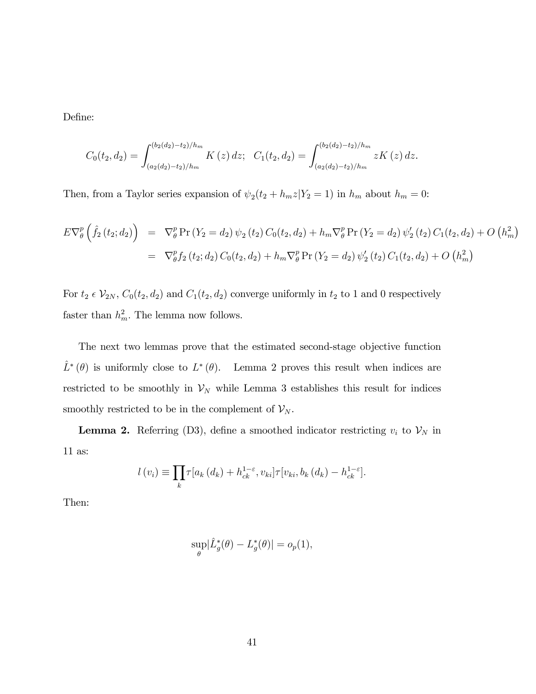Define:

$$
C_0(t_2, d_2) = \int_{(a_2(d_2)-t_2)/h_m}^{(b_2(d_2)-t_2)/h_m} K(z) dz; \quad C_1(t_2, d_2) = \int_{(a_2(d_2)-t_2)/h_m}^{(b_2(d_2)-t_2)/h_m} zK(z) dz.
$$

Then, from a Taylor series expansion of  $\psi_2(t_2 + h_m z | Y_2 = 1)$  in  $h_m$  about  $h_m = 0$ :

$$
E \nabla_{\theta}^{p} \left( \hat{f}_{2} (t_{2}; d_{2}) \right) = \nabla_{\theta}^{p} \Pr \left( Y_{2} = d_{2} \right) \psi_{2} (t_{2}) C_{0} (t_{2}, d_{2}) + h_{m} \nabla_{\theta}^{p} \Pr \left( Y_{2} = d_{2} \right) \psi_{2}' (t_{2}) C_{1} (t_{2}, d_{2}) + O \left( h_{m}^{2} \right)
$$
\n
$$
= \nabla_{\theta}^{p} f_{2} (t_{2}; d_{2}) C_{0} (t_{2}, d_{2}) + h_{m} \nabla_{\theta}^{p} \Pr \left( Y_{2} = d_{2} \right) \psi_{2}' (t_{2}) C_{1} (t_{2}, d_{2}) + O \left( h_{m}^{2} \right)
$$

For  $t_2 \in V_{2N}$ ,  $C_0(t_2, d_2)$  and  $C_1(t_2, d_2)$  converge uniformly in  $t_2$  to 1 and 0 respectively faster than  $h_m^2$ . The lemma now follows.

The next two lemmas prove that the estimated second-stage objective function  $\hat{L}^*(\theta)$  is uniformly close to  $L^*(\theta)$ . Lemma 2 proves this result when indices are restricted to be smoothly in  $\mathcal{V}_N$  while Lemma 3 establishes this result for indices smoothly restricted to be in the complement of  $\mathcal{V}_N$ .

**Lemma 2.** Referring (D3), define a smoothed indicator restricting  $v_i$  to  $V_N$  in 11 as:

$$
l(v_i) \equiv \prod_k \tau[a_k(d_k) + h_{ck}^{1-\epsilon}, v_{ki}]\tau[v_{ki}, b_k(d_k) - h_{ck}^{1-\epsilon}].
$$

Then:

$$
\sup_{\theta} \left| \hat{L}_g^*(\theta) - L_g^*(\theta) \right| = o_p(1),
$$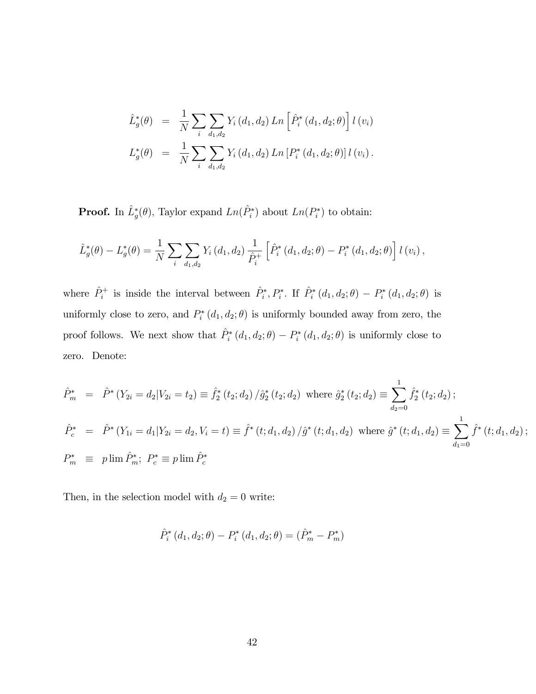$$
\hat{L}_g^*(\theta) = \frac{1}{N} \sum_i \sum_{d_1, d_2} Y_i (d_1, d_2) \operatorname{Ln} \left[ \hat{P}_i^*(d_1, d_2; \theta) \right] l (v_i)
$$
\n
$$
L_g^*(\theta) = \frac{1}{N} \sum_i \sum_{d_1, d_2} Y_i (d_1, d_2) \operatorname{Ln} \left[ P_i^*(d_1, d_2; \theta) \right] l (v_i).
$$

**Proof.** In  $\hat{L}^*_g(\theta)$ , Taylor expand  $Ln(\hat{P}^*_i)$  about  $Ln(P^*_i)$  to obtain:

$$
\hat{L}_g^*(\theta) - L_g^*(\theta) = \frac{1}{N} \sum_i \sum_{d_1, d_2} Y_i (d_1, d_2) \frac{1}{\hat{P}_i^+} \left[ \hat{P}_i^*(d_1, d_2; \theta) - P_i^*(d_1, d_2; \theta) \right] l(v_i),
$$

where  $\hat{P}^+_i$  is inside the interval between  $\hat{P}^*_i$ ,  $P^*_i$ . If  $\hat{P}^*_i$   $(d_1, d_2; \theta) - P^*_i$   $(d_1, d_2; \theta)$  is uniformly close to zero, and  $P_i^*(d_1, d_2; \theta)$  is uniformly bounded away from zero, the proof follows. We next show that  $\hat{P}^*_i(d_1, d_2; \theta) - P^*_i(d_1, d_2; \theta)$  is uniformly close to zero. Denote:

$$
\hat{P}_m^* = \hat{P}^* (Y_{2i} = d_2 | V_{2i} = t_2) \equiv \hat{f}_2^* (t_2; d_2) / \hat{g}_2^* (t_2; d_2) \text{ where } \hat{g}_2^* (t_2; d_2) \equiv \sum_{d_2=0}^1 \hat{f}_2^* (t_2; d_2);
$$
\n
$$
\hat{P}_c^* = \hat{P}^* (Y_{1i} = d_1 | Y_{2i} = d_2, V_i = t) \equiv \hat{f}^* (t; d_1, d_2) / \hat{g}^* (t; d_1, d_2) \text{ where } \hat{g}^* (t; d_1, d_2) \equiv \sum_{d_1=0}^1 \hat{f}^* (t; d_1, d_2);
$$
\n
$$
P_m^* \equiv p \lim \hat{P}_m^*; \ P_c^* \equiv p \lim \hat{P}_c^*
$$

Then, in the selection model with  $d_2 = 0$  write:

$$
\hat{P}_i^* (d_1, d_2; \theta) - P_i^* (d_1, d_2; \theta) = (\hat{P}_m^* - P_m^*)
$$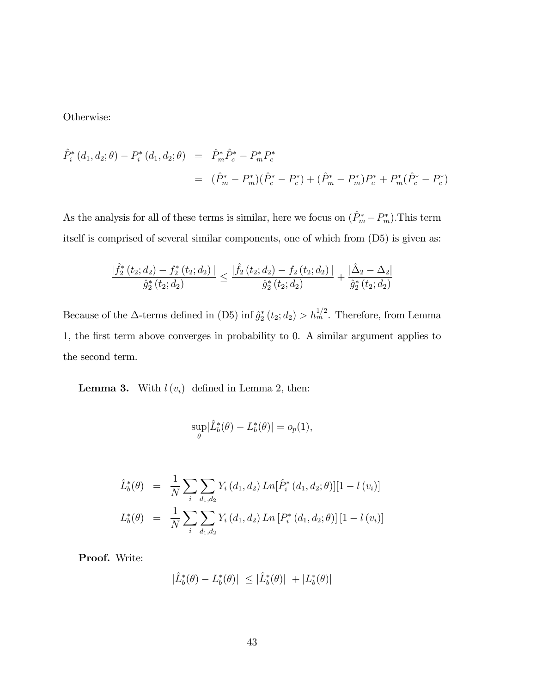Otherwise:

$$
\begin{array}{rcl}\n\hat{P}_i^* \left( d_1, d_2; \theta \right) - P_i^* \left( d_1, d_2; \theta \right) & = & \hat{P}_m^* \hat{P}_c^* - P_m^* P_c^* \\
& = & \left( \hat{P}_m^* - P_m^* \right) \left( \hat{P}_c^* - P_c^* \right) + \left( \hat{P}_m^* - P_m^* \right) P_c^* + P_m^* \left( \hat{P}_c^* - P_c^* \right)\n\end{array}
$$

As the analysis for all of these terms is similar, here we focus on  $(\hat{P}_m^* - P_m^*)$ . This term itself is comprised of several similar components, one of which from (D5) is given as:

$$
\frac{|\hat{f}_2^*(t_2;d_2)-f_2^*(t_2;d_2)|}{\hat{g}_2^*(t_2;d_2)} \le \frac{|\hat{f}_2(t_2;d_2)-f_2(t_2;d_2)|}{\hat{g}_2^*(t_2;d_2)} + \frac{|\hat{\Delta}_2-\Delta_2|}{\hat{g}_2^*(t_2;d_2)}
$$

Because of the  $\Delta$ -terms defined in (D5) inf  $\hat{g}_2^*(t_2; d_2) > h_m^{1/2}$ . Therefore, from Lemma 1, the first term above converges in probability to 0. A similar argument applies to the second term.

**Lemma 3.** With  $l(v_i)$  defined in Lemma 2, then:

$$
\sup_{\theta} \lvert \hat{L}_b^*(\theta) - L_b^*(\theta) \rvert = o_p(1),
$$

$$
\hat{L}_b^*(\theta) = \frac{1}{N} \sum_i \sum_{d_1, d_2} Y_i (d_1, d_2) Ln[\hat{P}_i^*(d_1, d_2; \theta)][1 - l(v_i)]
$$
  

$$
L_b^*(\theta) = \frac{1}{N} \sum_i \sum_{d_1, d_2} Y_i (d_1, d_2) Ln[P_i^*(d_1, d_2; \theta)][1 - l(v_i)]
$$

Proof. Write:

$$
|\hat{L}_b^*(\theta) - L_b^*(\theta)| \leq |\hat{L}_b^*(\theta)| + |L_b^*(\theta)|
$$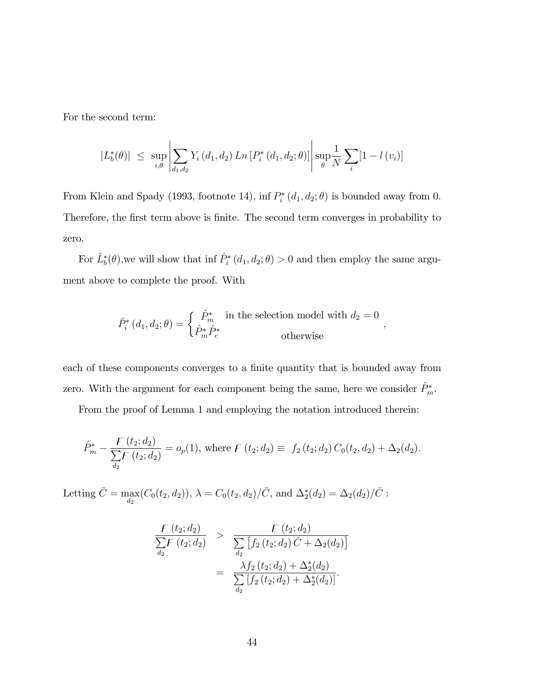For the second term:

$$
|L_{b}^{*}(\theta)| \leq \sup_{i,\theta} \left| \sum_{d_1,d_2} Y_i (d_1,d_2) \ln \left[ P_i^{*}(d_1,d_2;\theta) \right] \right| \sup_{\theta} \frac{1}{N} \sum_{i} [1 - l(v_i)]
$$

From Klein and Spady (1993, footnote 14), inf  $P_i^*(d_1, d_2; \theta)$  is bounded away from 0. Therefore, the first term above is finite. The second term converges in probability to zero.

For  $\hat{L}^*_b(\theta)$ , we will show that inf  $\hat{P}^*_i(d_1, d_2; \theta) > 0$  and then employ the same argument above to complete the proof. With

$$
\hat{P}_i^* (d_1, d_2; \theta) = \begin{cases} \hat{P}_m^* & \text{in the selection model with } d_2 = 0 \\ \hat{P}_m^* \hat{P}_c^* & \text{otherwise} \end{cases}
$$

;

each of these components converges to a finite quantity that is bounded away from zero. With the argument for each component being the same, here we consider  $\hat{P}_m^*$ .

From the proof of Lemma 1 and employing the notation introduced therein:

$$
\hat{P}_m^* - \frac{F(t_2; d_2)}{\sum_{d_2} F(t_2; d_2)} = o_p(1), \text{ where } F(t_2; d_2) \equiv f_2(t_2; d_2) C_0(t_2, d_2) + \Delta_2(d_2).
$$

Letting  $\bar{C} = \max_{d_2}(C_0(t_2, d_2)), \ \lambda = C_0(t_2, d_2)/\bar{C}$ , and  $\Delta_2^*(d_2) = \Delta_2(d_2)/\bar{C}$ :

$$
\frac{F(t_2; d_2)}{\sum_{d_2} F(t_2; d_2)} > \frac{F(t_2; d_2)}{\sum_{d_2} [f_2(t_2; d_2) \bar{C} + \Delta_2(d_2)]}
$$

$$
= \frac{\lambda f_2(t_2; d_2) + \Delta_2^*(d_2)}{\sum_{d_2} [f_2(t_2; d_2) + \Delta_2^*(d_2)]}.
$$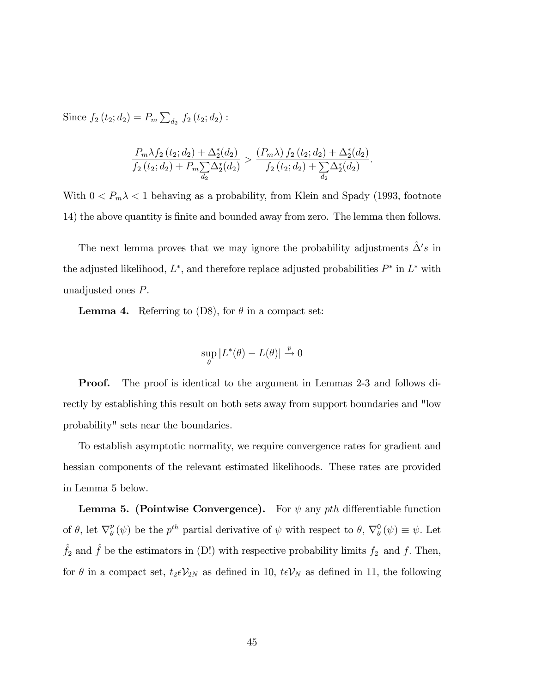Since  $f_2(t_2; d_2) = P_m \sum_{d_2} f_2(t_2; d_2)$ :

$$
\frac{P_m \lambda f_2(t_2; d_2) + \Delta_2^*(d_2)}{f_2(t_2; d_2) + P_m \sum_{d_2} \Delta_2^*(d_2)} > \frac{(P_m \lambda) f_2(t_2; d_2) + \Delta_2^*(d_2)}{f_2(t_2; d_2) + \sum_{d_2} \Delta_2^*(d_2)}.
$$

With  $0 < P_m \lambda < 1$  behaving as a probability, from Klein and Spady (1993, footnote 14) the above quantity is Önite and bounded away from zero. The lemma then follows.

The next lemma proves that we may ignore the probability adjustments  $\hat{\Delta}' s$  in the adjusted likelihood,  $L^*$ , and therefore replace adjusted probabilities  $P^*$  in  $L^*$  with unadjusted ones P.

**Lemma 4.** Referring to  $(D8)$ , for  $\theta$  in a compact set:

$$
\sup_{\theta} |L^*(\theta) - L(\theta)| \stackrel{p}{\to} 0
$$

**Proof.** The proof is identical to the argument in Lemmas 2-3 and follows directly by establishing this result on both sets away from support boundaries and "low probability" sets near the boundaries.

To establish asymptotic normality, we require convergence rates for gradient and hessian components of the relevant estimated likelihoods. These rates are provided in Lemma 5 below.

**Lemma 5. (Pointwise Convergence).** For  $\psi$  any pth differentiable function of  $\theta$ , let  $\nabla^p_{\theta}$  $_p^p(\psi)$  be the  $p^{th}$  partial derivative of  $\psi$  with respect to  $\theta$ ,  $\nabla_{\theta}^0(\psi) \equiv \psi$ . Let  $\hat{f}_2$  and  $\hat{f}$  be the estimators in (D!) with respective probability limits  $f_2$  and f. Then, for  $\theta$  in a compact set,  $t_2 \in V_{2N}$  as defined in 10,  $t \in V_N$  as defined in 11, the following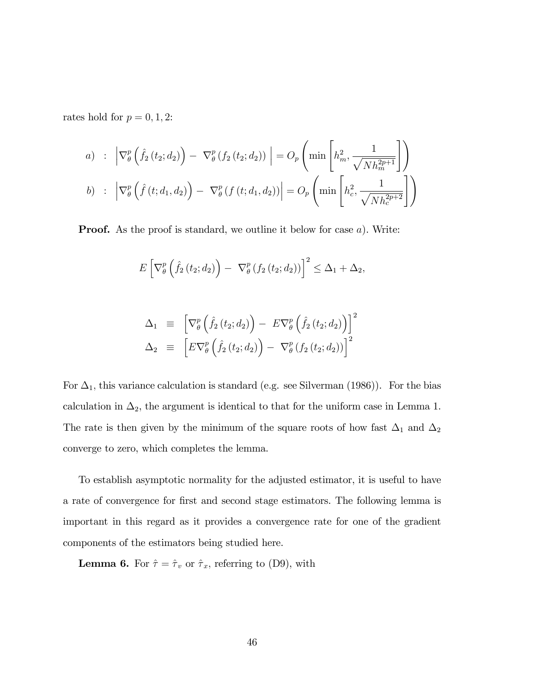rates hold for  $p = 0, 1, 2$ :

a) : 
$$
\left| \nabla_{\theta}^{p} \left( \hat{f}_{2} (t_{2}; d_{2}) \right) - \nabla_{\theta}^{p} (f_{2} (t_{2}; d_{2})) \right| = O_{p} \left( \min \left[ h_{m}^{2}, \frac{1}{\sqrt{N h_{m}^{2p+1}}} \right] \right)
$$
  
b) :  $\left| \nabla_{\theta}^{p} \left( \hat{f} (t; d_{1}, d_{2}) \right) - \nabla_{\theta}^{p} (f (t; d_{1}, d_{2})) \right| = O_{p} \left( \min \left[ h_{c}^{2}, \frac{1}{\sqrt{N h_{c}^{2p+2}}} \right] \right)$ 

**Proof.** As the proof is standard, we outline it below for case a). Write:

$$
E\left[\nabla_{\theta}^{p}\left(\hat{f}_{2}\left(t_{2};d_{2}\right)\right)-\nabla_{\theta}^{p}\left(f_{2}\left(t_{2};d_{2}\right)\right)\right]^{2} \leq \Delta_{1}+\Delta_{2},
$$

$$
\Delta_1 \equiv \left[ \nabla_{\theta}^p \left( \hat{f}_2(t_2; d_2) \right) - E \nabla_{\theta}^p \left( \hat{f}_2(t_2; d_2) \right) \right]^2
$$
  
\n
$$
\Delta_2 \equiv \left[ E \nabla_{\theta}^p \left( \hat{f}_2(t_2; d_2) \right) - \nabla_{\theta}^p \left( f_2(t_2; d_2) \right) \right]^2
$$

For  $\Delta_1$ , this variance calculation is standard (e.g. see Silverman (1986)). For the bias calculation in  $\Delta_2$ , the argument is identical to that for the uniform case in Lemma 1. The rate is then given by the minimum of the square roots of how fast  $\Delta_1$  and  $\Delta_2$ converge to zero, which completes the lemma.

To establish asymptotic normality for the adjusted estimator, it is useful to have a rate of convergence for first and second stage estimators. The following lemma is important in this regard as it provides a convergence rate for one of the gradient components of the estimators being studied here.

**Lemma 6.** For  $\hat{\tau} = \hat{\tau}_v$  or  $\hat{\tau}_x$ , referring to (D9), with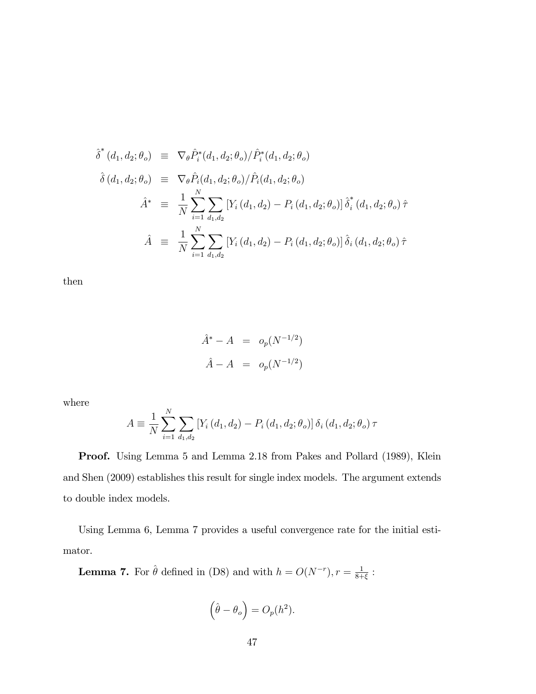$$
\hat{\delta}^*(d_1, d_2; \theta_o) \equiv \nabla_{\theta} \hat{P}_i^*(d_1, d_2; \theta_o) / \hat{P}_i^*(d_1, d_2; \theta_o)
$$
\n
$$
\hat{\delta}(d_1, d_2; \theta_o) \equiv \nabla_{\theta} \hat{P}_i(d_1, d_2; \theta_o) / \hat{P}_i(d_1, d_2; \theta_o)
$$
\n
$$
\hat{A}^* \equiv \frac{1}{N} \sum_{i=1}^N \sum_{d_1, d_2} [Y_i(d_1, d_2) - P_i(d_1, d_2; \theta_o)] \hat{\delta}_i^*(d_1, d_2; \theta_o) \hat{\tau}
$$
\n
$$
\hat{A} \equiv \frac{1}{N} \sum_{i=1}^N \sum_{d_1, d_2} [Y_i(d_1, d_2) - P_i(d_1, d_2; \theta_o)] \hat{\delta}_i(d_1, d_2; \theta_o) \hat{\tau}
$$

then

$$
\hat{A}^* - A = o_p(N^{-1/2})
$$
  

$$
\hat{A} - A = o_p(N^{-1/2})
$$

where

$$
A \equiv \frac{1}{N} \sum_{i=1}^{N} \sum_{d_1, d_2} \left[ Y_i \left( d_1, d_2 \right) - P_i \left( d_1, d_2; \theta_o \right) \right] \delta_i \left( d_1, d_2; \theta_o \right) \tau
$$

Proof. Using Lemma 5 and Lemma 2.18 from Pakes and Pollard (1989), Klein and Shen (2009) establishes this result for single index models. The argument extends to double index models.

Using Lemma 6, Lemma 7 provides a useful convergence rate for the initial estimator.

**Lemma 7.** For  $\hat{\theta}$  defined in (D8) and with  $h = O(N^{-r})$ ,  $r = \frac{1}{8+r}$  $\frac{1}{8+\xi}$  :

$$
\left(\hat{\theta} - \theta_o\right) = O_p(h^2).
$$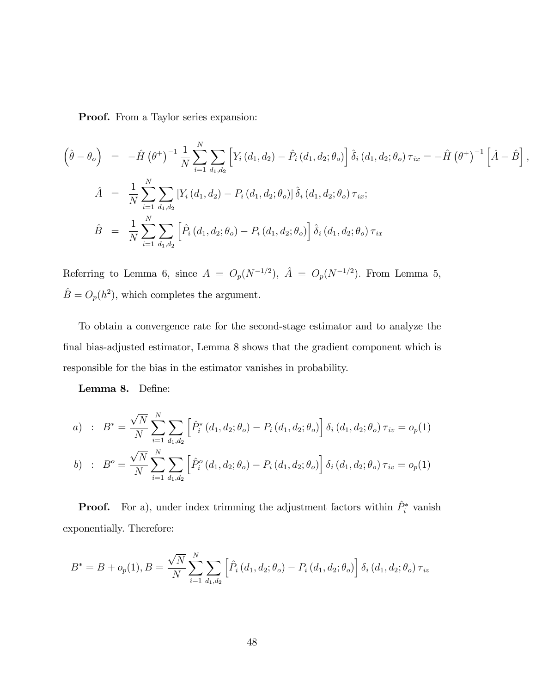Proof. From a Taylor series expansion:

$$
\begin{split}\n\left(\hat{\theta} - \theta_{o}\right) &= -\hat{H}\left(\theta^{+}\right)^{-1}\frac{1}{N}\sum_{i=1}^{N}\sum_{d_{1},d_{2}}\left[Y_{i}\left(d_{1},d_{2}\right) - \hat{P}_{i}\left(d_{1},d_{2};\theta_{o}\right)\right]\hat{\delta}_{i}\left(d_{1},d_{2};\theta_{o}\right)\tau_{ix} = -\hat{H}\left(\theta^{+}\right)^{-1}\left[\hat{A} - \hat{B}\right], \\
\hat{A} &= \frac{1}{N}\sum_{i=1}^{N}\sum_{d_{1},d_{2}}\left[Y_{i}\left(d_{1},d_{2}\right) - P_{i}\left(d_{1},d_{2};\theta_{o}\right)\right]\hat{\delta}_{i}\left(d_{1},d_{2};\theta_{o}\right)\tau_{ix}; \\
\hat{B} &= \frac{1}{N}\sum_{i=1}^{N}\sum_{d_{1},d_{2}}\left[\hat{P}_{i}\left(d_{1},d_{2};\theta_{o}\right) - P_{i}\left(d_{1},d_{2};\theta_{o}\right)\right]\hat{\delta}_{i}\left(d_{1},d_{2};\theta_{o}\right)\tau_{ix}\n\end{split}
$$

Referring to Lemma 6, since  $A = O_p(N^{-1/2})$ ,  $\hat{A} = O_p(N^{-1/2})$ . From Lemma 5,  $\hat{B} = O_p(h^2)$ , which completes the argument.

To obtain a convergence rate for the second-stage estimator and to analyze the final bias-adjusted estimator, Lemma 8 shows that the gradient component which is responsible for the bias in the estimator vanishes in probability.

Lemma 8. Define:

a) : 
$$
B^* = \frac{\sqrt{N}}{N} \sum_{i=1}^N \sum_{d_1, d_2} \left[ \hat{P}_i^* (d_1, d_2; \theta_o) - P_i (d_1, d_2; \theta_o) \right] \delta_i (d_1, d_2; \theta_o) \tau_{iv} = o_p(1)
$$
  
\nb) :  $B^o = \frac{\sqrt{N}}{N} \sum_{i=1}^N \sum_{d_1, d_2} \left[ \hat{P}_i^o (d_1, d_2; \theta_o) - P_i (d_1, d_2; \theta_o) \right] \delta_i (d_1, d_2; \theta_o) \tau_{iv} = o_p(1)$ 

**Proof.** For a), under index trimming the adjustment factors within  $\hat{P}_i^*$  vanish exponentially. Therefore:

$$
B^* = B + o_p(1), B = \frac{\sqrt{N}}{N} \sum_{i=1}^N \sum_{d_1, d_2} \left[ \hat{P}_i (d_1, d_2; \theta_o) - P_i (d_1, d_2; \theta_o) \right] \delta_i (d_1, d_2; \theta_o) \tau_{iv}
$$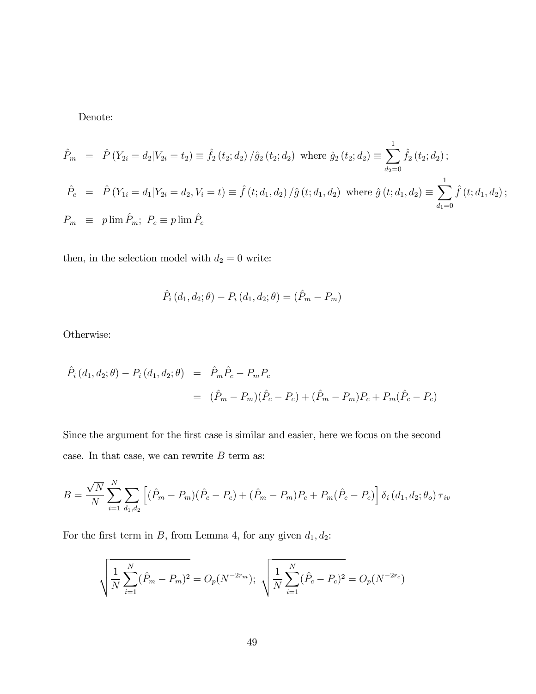Denote:

$$
\hat{P}_m = \hat{P}(Y_{2i} = d_2 | V_{2i} = t_2) \equiv \hat{f}_2(t_2; d_2) / \hat{g}_2(t_2; d_2) \text{ where } \hat{g}_2(t_2; d_2) \equiv \sum_{d_2=0}^1 \hat{f}_2(t_2; d_2);
$$
\n
$$
\hat{P}_c = \hat{P}(Y_{1i} = d_1 | Y_{2i} = d_2, V_i = t) \equiv \hat{f}(t; d_1, d_2) / \hat{g}(t; d_1, d_2) \text{ where } \hat{g}(t; d_1, d_2) \equiv \sum_{d_1=0}^1 \hat{f}(t; d_1, d_2);
$$
\n
$$
P_m \equiv p \lim \hat{P}_m; \ P_c \equiv p \lim \hat{P}_c
$$

then, in the selection model with  $d_2=0$  write:

$$
\hat{P}_i(d_1, d_2; \theta) - P_i(d_1, d_2; \theta) = (\hat{P}_m - P_m)
$$

Otherwise:

$$
\hat{P}_i (d_1, d_2; \theta) - P_i (d_1, d_2; \theta) = \hat{P}_m \hat{P}_c - P_m P_c
$$
  
=  $(\hat{P}_m - P_m)(\hat{P}_c - P_c) + (\hat{P}_m - P_m)P_c + P_m(\hat{P}_c - P_c)$ 

Since the argument for the first case is similar and easier, here we focus on the second case. In that case, we can rewrite  $B$  term as:

$$
B = \frac{\sqrt{N}}{N} \sum_{i=1}^{N} \sum_{d_1, d_2} \left[ (\hat{P}_m - P_m)(\hat{P}_c - P_c) + (\hat{P}_m - P_m)P_c + P_m(\hat{P}_c - P_c) \right] \delta_i (d_1, d_2; \theta_o) \tau_{iv}
$$

For the first term in  $B,$  from Lemma 4, for any given  $d_1, d_2$ :

$$
\sqrt{\frac{1}{N} \sum_{i=1}^{N} (\hat{P}_{m} - P_{m})^{2}} = O_{p}(N^{-2r_{m}}); \sqrt{\frac{1}{N} \sum_{i=1}^{N} (\hat{P}_{c} - P_{c})^{2}} = O_{p}(N^{-2r_{c}})
$$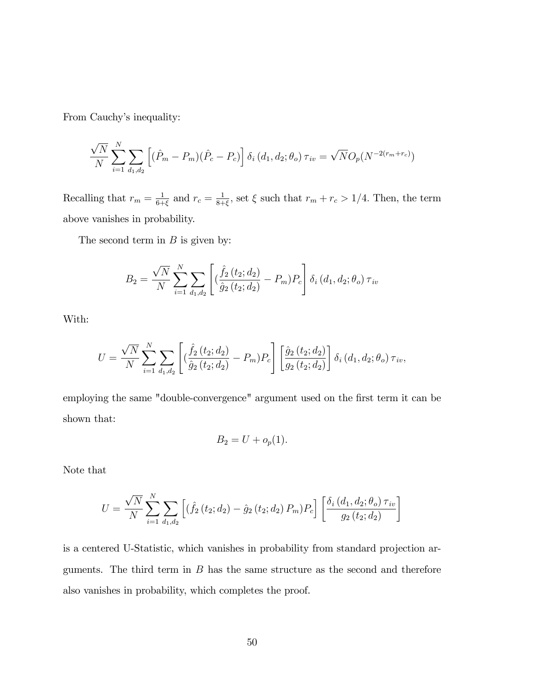From Cauchy's inequality:

$$
\frac{\sqrt{N}}{N} \sum_{i=1}^{N} \sum_{d_1, d_2} \left[ (\hat{P}_m - P_m)(\hat{P}_c - P_c) \right] \delta_i (d_1, d_2; \theta_o) \tau_{iv} = \sqrt{N} O_p(N^{-2(r_m + r_c)})
$$

Recalling that  $r_m = \frac{1}{6+1}$  $\frac{1}{6+\xi}$  and  $r_c = \frac{1}{8+\xi}$  $\frac{1}{8+\xi}$ , set  $\xi$  such that  $r_m + r_c > 1/4$ . Then, the term above vanishes in probability.

The second term in  $B$  is given by:

$$
B_2 = \frac{\sqrt{N}}{N} \sum_{i=1}^{N} \sum_{d_1, d_2} \left[ \left( \frac{\hat{f}_2(t_2; d_2)}{\hat{g}_2(t_2; d_2)} - P_m \right) P_c \right] \delta_i \left( d_1, d_2; \theta_o \right) \tau_{iv}
$$

With:

$$
U = \frac{\sqrt{N}}{N} \sum_{i=1}^{N} \sum_{d_1, d_2} \left[ \left( \frac{\hat{f}_2(t_2; d_2)}{\hat{g}_2(t_2; d_2)} - P_m \right) P_c \right] \left[ \frac{\hat{g}_2(t_2; d_2)}{g_2(t_2; d_2)} \right] \delta_i \left( d_1, d_2; \theta_o \right) \tau_{iv},
$$

employing the same "double-convergence" argument used on the first term it can be shown that:

$$
B_2 = U + o_p(1).
$$

Note that

$$
U = \frac{\sqrt{N}}{N} \sum_{i=1}^{N} \sum_{d_1, d_2} \left[ (\hat{f}_2(t_2; d_2) - \hat{g}_2(t_2; d_2) P_m) P_c \right] \left[ \frac{\delta_i (d_1, d_2; \theta_o) \tau_{iv}}{g_2(t_2; d_2)} \right]
$$

is a centered U-Statistic, which vanishes in probability from standard projection arguments. The third term in  $B$  has the same structure as the second and therefore also vanishes in probability, which completes the proof.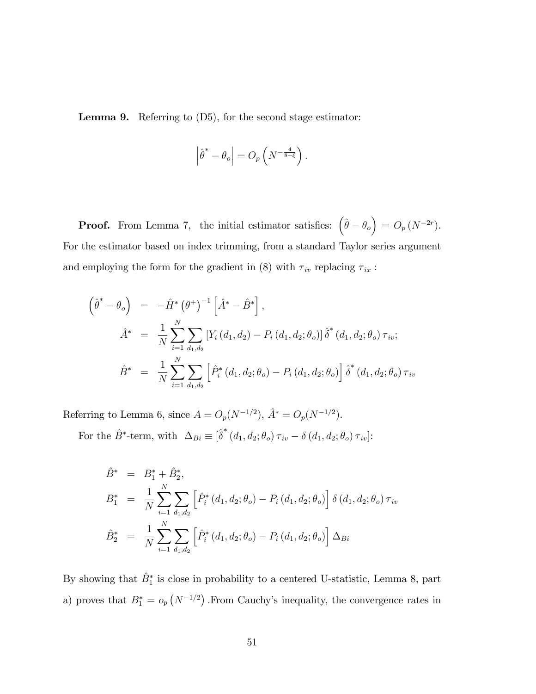Lemma 9. Referring to (D5), for the second stage estimator:

$$
\left|\hat{\theta}^* - \theta_o\right| = O_p\left(N^{-\frac{4}{8+\xi}}\right).
$$

**Proof.** From Lemma 7, the initial estimator satisfies:  $(\hat{\theta} - \theta_o) = O_p (N^{-2r}).$ For the estimator based on index trimming, from a standard Taylor series argument and employing the form for the gradient in (8) with  $\tau_{iv}$  replacing  $\tau_{ix}$ :

$$
\begin{aligned}\n\left(\hat{\theta}^* - \theta_o\right) &= -\hat{H}^* \left(\theta^+\right)^{-1} \left[\hat{A}^* - \hat{B}^*\right], \\
\hat{A}^* &= \frac{1}{N} \sum_{i=1}^N \sum_{d_1, d_2} \left[ Y_i \left(d_1, d_2\right) - P_i \left(d_1, d_2; \theta_o\right) \right] \hat{\delta}^* \left(d_1, d_2; \theta_o\right) \tau_{iv}; \\
\hat{B}^* &= \frac{1}{N} \sum_{i=1}^N \sum_{d_1, d_2} \left[\hat{P}_i^* \left(d_1, d_2; \theta_o\right) - P_i \left(d_1, d_2; \theta_o\right)\right] \hat{\delta}^* \left(d_1, d_2; \theta_o\right) \tau_{iv}.\n\end{aligned}
$$

Referring to Lemma 6, since  $A = O_p(N^{-1/2}), \hat{A}^* = O_p(N^{-1/2}).$ For the  $\hat{B}^*$ -term, with  $\Delta_{Bi} \equiv \left[ \hat{\delta}^* (d_1, d_2; \theta_o) \tau_{iv} - \delta (d_1, d_2; \theta_o) \tau_{iv} \right]$ :

$$
\hat{B}^* = B_1^* + \hat{B}_2^*,
$$
\n
$$
B_1^* = \frac{1}{N} \sum_{i=1}^N \sum_{d_1, d_2} \left[ \hat{P}_i^* (d_1, d_2; \theta_o) - P_i (d_1, d_2; \theta_o) \right] \delta (d_1, d_2; \theta_o) \tau_{iv}
$$
\n
$$
\hat{B}_2^* = \frac{1}{N} \sum_{i=1}^N \sum_{d_1, d_2} \left[ \hat{P}_i^* (d_1, d_2; \theta_o) - P_i (d_1, d_2; \theta_o) \right] \Delta_{Bi}
$$

By showing that  $\hat{B}_1^*$  is close in probability to a centered U-statistic, Lemma 8, part a) proves that  $B_1^* = o_p(N^{-1/2})$ . From Cauchy's inequality, the convergence rates in